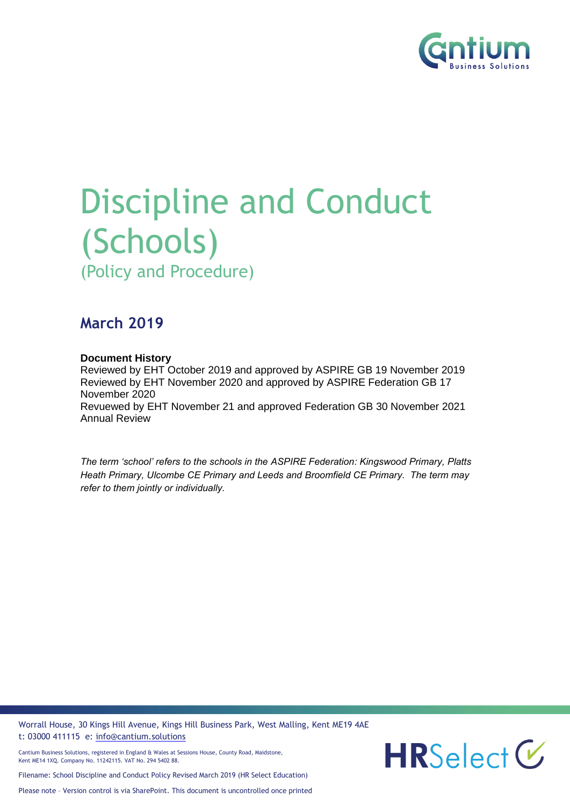

# Discipline and Conduct (Schools) (Policy and Procedure)

### **March 2019**

#### **Document History**

Reviewed by EHT October 2019 and approved by ASPIRE GB 19 November 2019 Reviewed by EHT November 2020 and approved by ASPIRE Federation GB 17 November 2020 Revuewed by EHT November 21 and approved Federation GB 30 November 2021 Annual Review

*The term 'school' refers to the schools in the ASPIRE Federation: Kingswood Primary, Platts Heath Primary, Ulcombe CE Primary and Leeds and Broomfield CE Primary. The term may refer to them jointly or individually.*

Worrall House, 30 Kings Hill Avenue, Kings Hill Business Park, West Malling, Kent ME19 4AE t: 03000 411115 e: [info@cantium.solutions](mailto:info@cantium.solutions)

Cantium Business Solutions, registered in England & Wales at Sessions House, County Road, Maidstone, Kent ME14 1XQ. Company No. 11242115. VAT No. 294 5402 88.

Filename: School Discipline and Conduct Policy Revised March 2019 (HR Select Education)

Please note – Version control is via SharePoint. This document is uncontrolled once printed

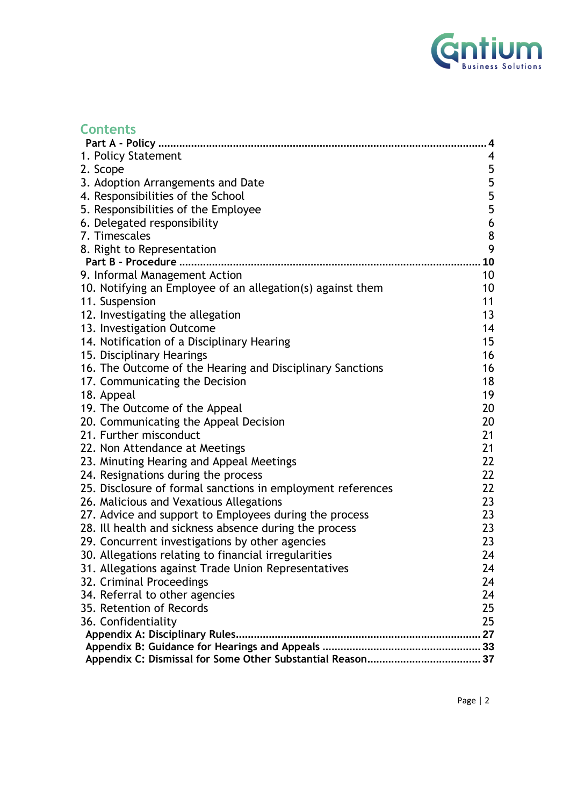

| <b>Contents</b> |
|-----------------|
|-----------------|

|                                                             | 4                                     |
|-------------------------------------------------------------|---------------------------------------|
| 1. Policy Statement                                         | 4                                     |
| 2. Scope                                                    | 5                                     |
| 3. Adoption Arrangements and Date                           |                                       |
| 4. Responsibilities of the School                           |                                       |
| 5. Responsibilities of the Employee                         | 5<br>5<br>5                           |
| 6. Delegated responsibility                                 | $\boldsymbol{6}$                      |
| 7. Timescales                                               |                                       |
| 8. Right to Representation                                  | $\begin{array}{c} 8 \\ 9 \end{array}$ |
|                                                             | 10                                    |
| 9. Informal Management Action                               | 10                                    |
| 10. Notifying an Employee of an allegation(s) against them  | 10                                    |
| 11. Suspension                                              | 11                                    |
| 12. Investigating the allegation                            | 13                                    |
| 13. Investigation Outcome                                   | 14                                    |
| 14. Notification of a Disciplinary Hearing                  | 15                                    |
| 15. Disciplinary Hearings                                   | 16                                    |
| 16. The Outcome of the Hearing and Disciplinary Sanctions   | 16                                    |
| 17. Communicating the Decision                              | 18                                    |
| 18. Appeal                                                  | 19                                    |
| 19. The Outcome of the Appeal                               | 20                                    |
| 20. Communicating the Appeal Decision                       | 20                                    |
| 21. Further misconduct                                      | 21                                    |
| 22. Non Attendance at Meetings                              | 21                                    |
| 23. Minuting Hearing and Appeal Meetings                    | 22                                    |
| 24. Resignations during the process                         | 22                                    |
| 25. Disclosure of formal sanctions in employment references | 22                                    |
| 26. Malicious and Vexatious Allegations                     | 23                                    |
| 27. Advice and support to Employees during the process      | 23                                    |
| 28. Ill health and sickness absence during the process      | 23                                    |
| 29. Concurrent investigations by other agencies             | 23                                    |
| 30. Allegations relating to financial irregularities        | 24                                    |
| 31. Allegations against Trade Union Representatives         | 24                                    |
| 32. Criminal Proceedings                                    | 24                                    |
| 34. Referral to other agencies                              | 24                                    |
| 35. Retention of Records                                    | 25                                    |
| 36. Confidentiality                                         | 25                                    |
|                                                             |                                       |
|                                                             |                                       |
|                                                             |                                       |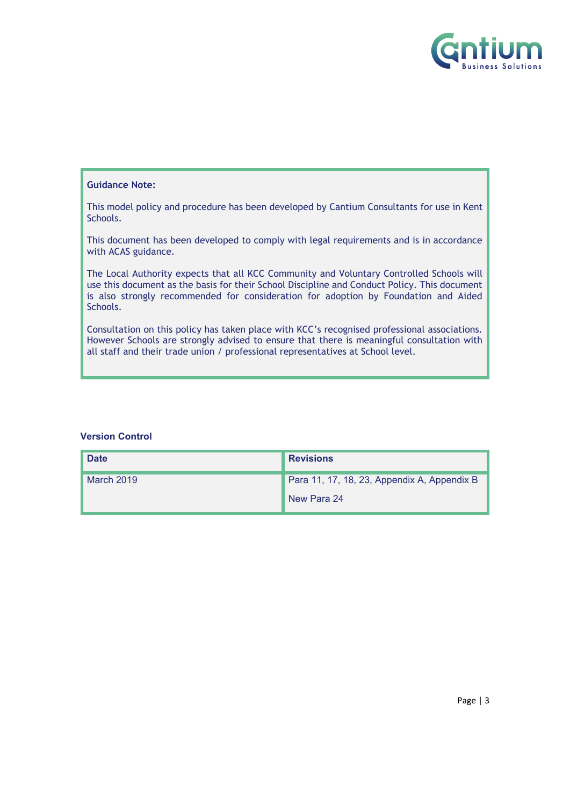

#### **Guidance Note:**

This model policy and procedure has been developed by Cantium Consultants for use in Kent Schools.

This document has been developed to comply with legal requirements and is in accordance with ACAS guidance.

The Local Authority expects that all KCC Community and Voluntary Controlled Schools will use this document as the basis for their School Discipline and Conduct Policy. This document is also strongly recommended for consideration for adoption by Foundation and Aided Schools.

Consultation on this policy has taken place with KCC's recognised professional associations. However Schools are strongly advised to ensure that there is meaningful consultation with all staff and their trade union / professional representatives at School level.

#### **Version Control**

| <b>Date</b> | <b>Revisions</b>                            |
|-------------|---------------------------------------------|
| March 2019  | Para 11, 17, 18, 23, Appendix A, Appendix B |
|             | New Para 24                                 |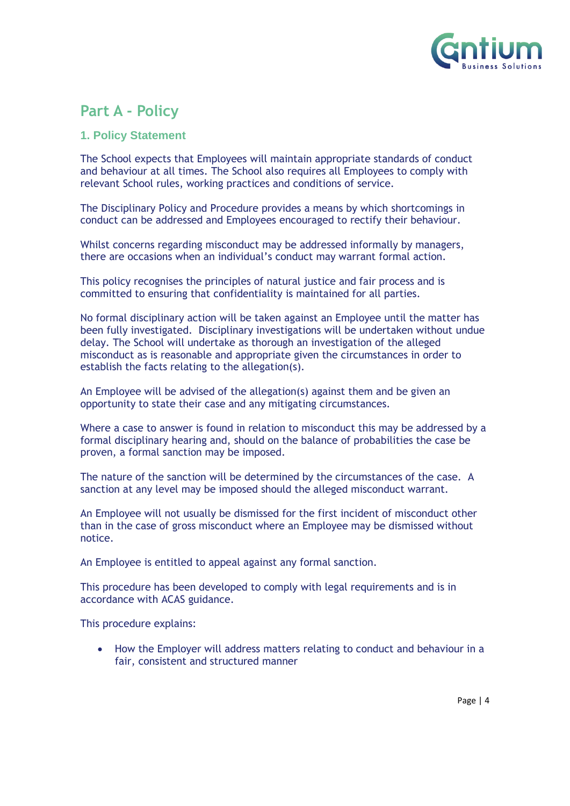

### <span id="page-3-0"></span>**Part A - Policy**

#### <span id="page-3-1"></span>**1. Policy Statement**

The School expects that Employees will maintain appropriate standards of conduct and behaviour at all times. The School also requires all Employees to comply with relevant School rules, working practices and conditions of service.

The Disciplinary Policy and Procedure provides a means by which shortcomings in conduct can be addressed and Employees encouraged to rectify their behaviour.

Whilst concerns regarding misconduct may be addressed informally by managers, there are occasions when an individual's conduct may warrant formal action.

This policy recognises the principles of natural justice and fair process and is committed to ensuring that confidentiality is maintained for all parties.

No formal disciplinary action will be taken against an Employee until the matter has been fully investigated. Disciplinary investigations will be undertaken without undue delay. The School will undertake as thorough an investigation of the alleged misconduct as is reasonable and appropriate given the circumstances in order to establish the facts relating to the allegation(s).

An Employee will be advised of the allegation(s) against them and be given an opportunity to state their case and any mitigating circumstances.

Where a case to answer is found in relation to misconduct this may be addressed by a formal disciplinary hearing and, should on the balance of probabilities the case be proven, a formal sanction may be imposed.

The nature of the sanction will be determined by the circumstances of the case. A sanction at any level may be imposed should the alleged misconduct warrant.

An Employee will not usually be dismissed for the first incident of misconduct other than in the case of gross misconduct where an Employee may be dismissed without notice.

An Employee is entitled to appeal against any formal sanction.

This procedure has been developed to comply with legal requirements and is in accordance with ACAS guidance.

This procedure explains:

• How the Employer will address matters relating to conduct and behaviour in a fair, consistent and structured manner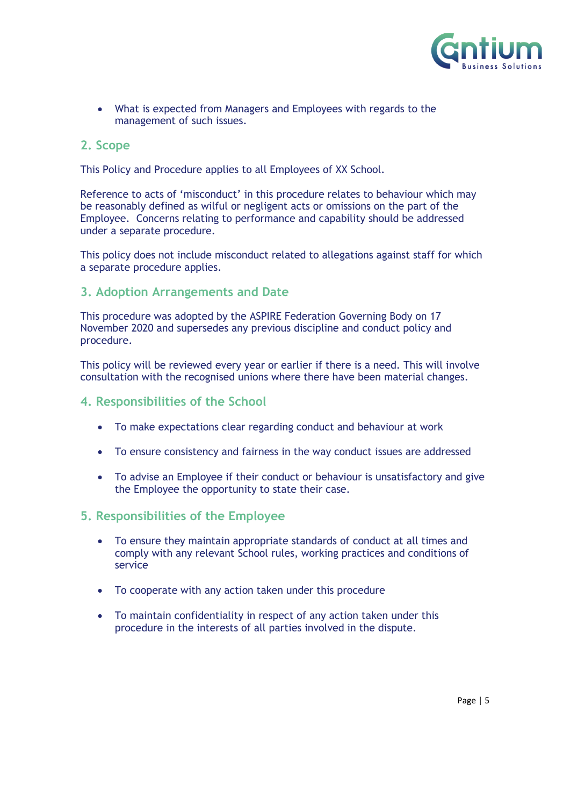

• What is expected from Managers and Employees with regards to the management of such issues.

#### <span id="page-4-0"></span>**2. Scope**

This Policy and Procedure applies to all Employees of XX School.

Reference to acts of 'misconduct' in this procedure relates to behaviour which may be reasonably defined as wilful or negligent acts or omissions on the part of the Employee. Concerns relating to performance and capability should be addressed under a separate procedure.

This policy does not include misconduct related to allegations against staff for which a separate procedure applies.

#### <span id="page-4-1"></span>**3. Adoption Arrangements and Date**

This procedure was adopted by the ASPIRE Federation Governing Body on 17 November 2020 and supersedes any previous discipline and conduct policy and procedure.

This policy will be reviewed every year or earlier if there is a need. This will involve consultation with the recognised unions where there have been material changes.

#### <span id="page-4-2"></span>**4. Responsibilities of the School**

- To make expectations clear regarding conduct and behaviour at work
- To ensure consistency and fairness in the way conduct issues are addressed
- To advise an Employee if their conduct or behaviour is unsatisfactory and give the Employee the opportunity to state their case.

#### <span id="page-4-3"></span>**5. Responsibilities of the Employee**

- To ensure they maintain appropriate standards of conduct at all times and comply with any relevant School rules, working practices and conditions of service
- To cooperate with any action taken under this procedure
- To maintain confidentiality in respect of any action taken under this procedure in the interests of all parties involved in the dispute.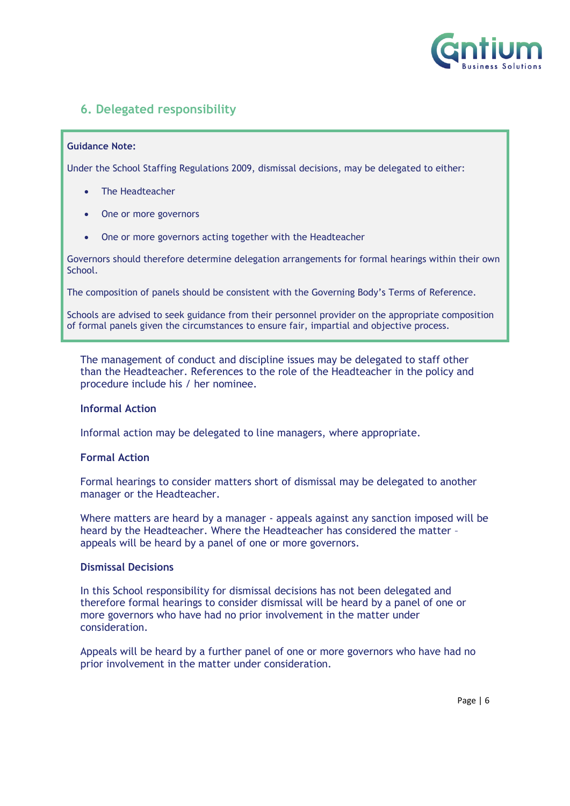

#### <span id="page-5-0"></span>**6. Delegated responsibility**

#### **Guidance Note:**

Under the School Staffing Regulations 2009, dismissal decisions, may be delegated to either:

- The Headteacher
- One or more governors
- One or more governors acting together with the Headteacher

Governors should therefore determine delegation arrangements for formal hearings within their own School.

The composition of panels should be consistent with the Governing Body's Terms of Reference.

Schools are advised to seek guidance from their personnel provider on the appropriate composition of formal panels given the circumstances to ensure fair, impartial and objective process.

The management of conduct and discipline issues may be delegated to staff other than the Headteacher. References to the role of the Headteacher in the policy and procedure include his / her nominee.

#### **Informal Action**

Informal action may be delegated to line managers, where appropriate.

#### **Formal Action**

Formal hearings to consider matters short of dismissal may be delegated to another manager or the Headteacher.

Where matters are heard by a manager - appeals against any sanction imposed will be heard by the Headteacher. Where the Headteacher has considered the matter – appeals will be heard by a panel of one or more governors.

#### **Dismissal Decisions**

In this School responsibility for dismissal decisions has not been delegated and therefore formal hearings to consider dismissal will be heard by a panel of one or more governors who have had no prior involvement in the matter under consideration.

Appeals will be heard by a further panel of one or more governors who have had no prior involvement in the matter under consideration.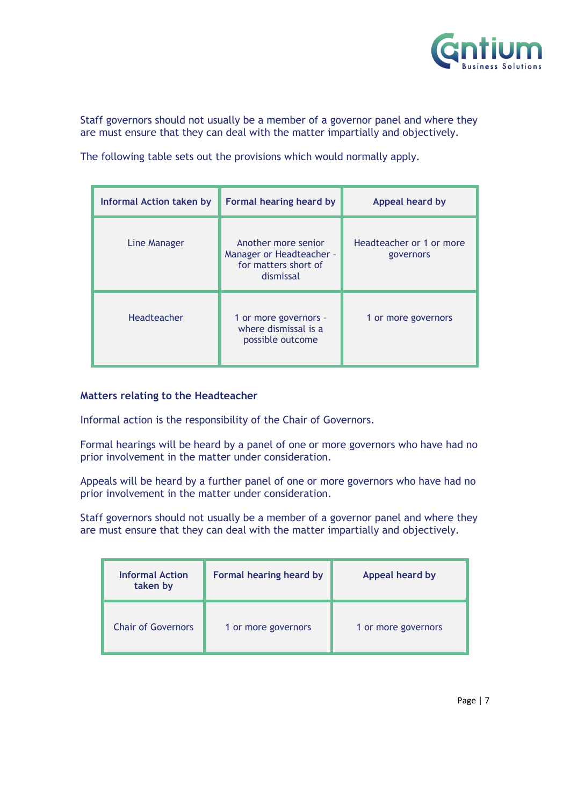

Staff governors should not usually be a member of a governor panel and where they are must ensure that they can deal with the matter impartially and objectively.

The following table sets out the provisions which would normally apply.

| <b>Informal Action taken by</b> | Formal hearing heard by                                                              | Appeal heard by                       |
|---------------------------------|--------------------------------------------------------------------------------------|---------------------------------------|
| Line Manager                    | Another more senior<br>Manager or Headteacher -<br>for matters short of<br>dismissal | Headteacher or 1 or more<br>governors |
| Headteacher                     | 1 or more governors -<br>where dismissal is a<br>possible outcome                    | 1 or more governors                   |

#### **Matters relating to the Headteacher**

Informal action is the responsibility of the Chair of Governors.

Formal hearings will be heard by a panel of one or more governors who have had no prior involvement in the matter under consideration.

Appeals will be heard by a further panel of one or more governors who have had no prior involvement in the matter under consideration.

Staff governors should not usually be a member of a governor panel and where they are must ensure that they can deal with the matter impartially and objectively.

| <b>Informal Action</b><br>taken by | Formal hearing heard by | Appeal heard by     |
|------------------------------------|-------------------------|---------------------|
| <b>Chair of Governors</b>          | 1 or more governors     | 1 or more governors |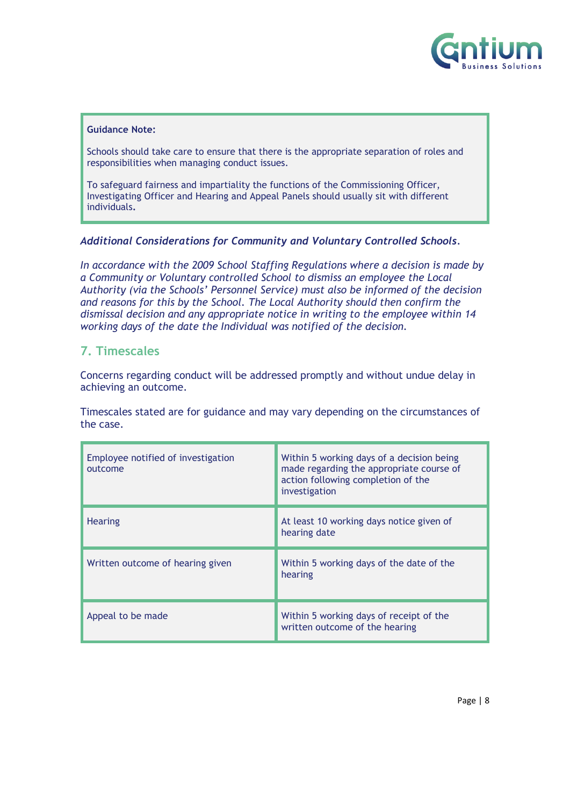

#### **Guidance Note:**

Schools should take care to ensure that there is the appropriate separation of roles and responsibilities when managing conduct issues.

To safeguard fairness and impartiality the functions of the Commissioning Officer, Investigating Officer and Hearing and Appeal Panels should usually sit with different individuals**.**

#### *Additional Considerations for Community and Voluntary Controlled Schools.*

*In accordance with the 2009 School Staffing Regulations where a decision is made by a Community or Voluntary controlled School to dismiss an employee the Local Authority (via the Schools' Personnel Service) must also be informed of the decision and reasons for this by the School. The Local Authority should then confirm the dismissal decision and any appropriate notice in writing to the employee within 14 working days of the date the Individual was notified of the decision.*

#### <span id="page-7-0"></span>**7. Timescales**

Concerns regarding conduct will be addressed promptly and without undue delay in achieving an outcome.

Timescales stated are for guidance and may vary depending on the circumstances of the case.

| Employee notified of investigation<br>outcome | Within 5 working days of a decision being<br>made regarding the appropriate course of<br>action following completion of the<br>investigation |
|-----------------------------------------------|----------------------------------------------------------------------------------------------------------------------------------------------|
| <b>Hearing</b>                                | At least 10 working days notice given of<br>hearing date                                                                                     |
| Written outcome of hearing given              | Within 5 working days of the date of the<br>hearing                                                                                          |
| Appeal to be made                             | Within 5 working days of receipt of the<br>written outcome of the hearing                                                                    |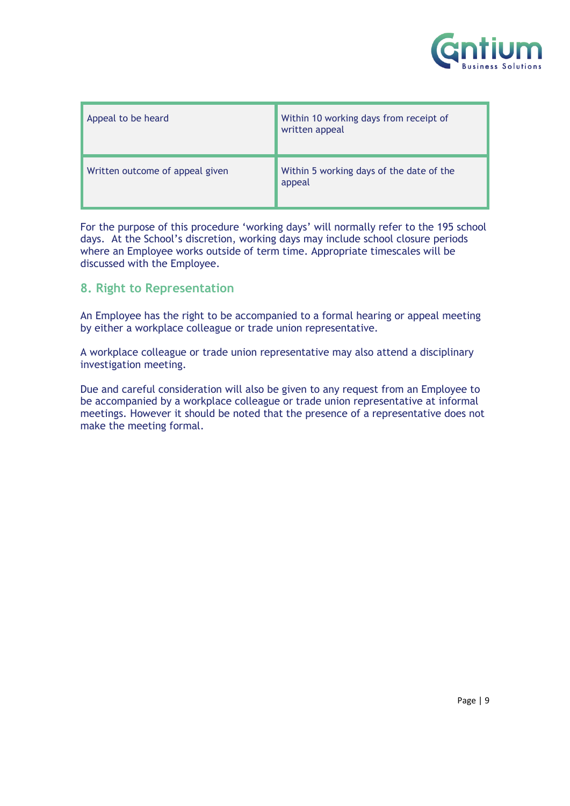

| Appeal to be heard              | Within 10 working days from receipt of<br>written appeal |
|---------------------------------|----------------------------------------------------------|
| Written outcome of appeal given | Within 5 working days of the date of the<br>appeal       |

For the purpose of this procedure 'working days' will normally refer to the 195 school days. At the School's discretion, working days may include school closure periods where an Employee works outside of term time. Appropriate timescales will be discussed with the Employee.

#### <span id="page-8-0"></span>**8. Right to Representation**

An Employee has the right to be accompanied to a formal hearing or appeal meeting by either a workplace colleague or trade union representative.

A workplace colleague or trade union representative may also attend a disciplinary investigation meeting.

Due and careful consideration will also be given to any request from an Employee to be accompanied by a workplace colleague or trade union representative at informal meetings. However it should be noted that the presence of a representative does not make the meeting formal.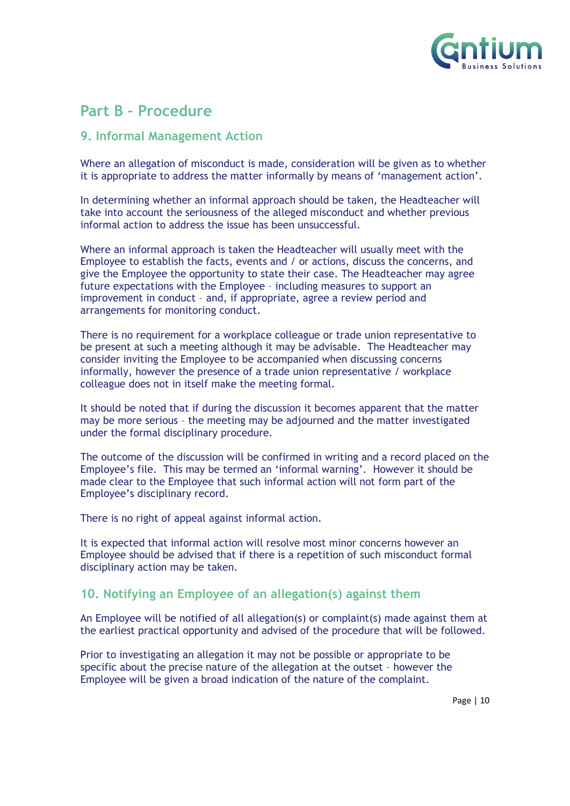

### <span id="page-9-0"></span>**Part B – Procedure**

#### <span id="page-9-1"></span>**9. Informal Management Action**

Where an allegation of misconduct is made, consideration will be given as to whether it is appropriate to address the matter informally by means of 'management action'.

In determining whether an informal approach should be taken, the Headteacher will take into account the seriousness of the alleged misconduct and whether previous informal action to address the issue has been unsuccessful.

Where an informal approach is taken the Headteacher will usually meet with the Employee to establish the facts, events and / or actions, discuss the concerns, and give the Employee the opportunity to state their case. The Headteacher may agree future expectations with the Employee – including measures to support an improvement in conduct – and, if appropriate, agree a review period and arrangements for monitoring conduct.

There is no requirement for a workplace colleague or trade union representative to be present at such a meeting although it may be advisable. The Headteacher may consider inviting the Employee to be accompanied when discussing concerns informally, however the presence of a trade union representative / workplace colleague does not in itself make the meeting formal.

It should be noted that if during the discussion it becomes apparent that the matter may be more serious – the meeting may be adjourned and the matter investigated under the formal disciplinary procedure.

The outcome of the discussion will be confirmed in writing and a record placed on the Employee's file. This may be termed an 'informal warning'. However it should be made clear to the Employee that such informal action will not form part of the Employee's disciplinary record.

There is no right of appeal against informal action.

It is expected that informal action will resolve most minor concerns however an Employee should be advised that if there is a repetition of such misconduct formal disciplinary action may be taken.

#### <span id="page-9-2"></span>**10. Notifying an Employee of an allegation(s) against them**

An Employee will be notified of all allegation(s) or complaint(s) made against them at the earliest practical opportunity and advised of the procedure that will be followed.

Prior to investigating an allegation it may not be possible or appropriate to be specific about the precise nature of the allegation at the outset – however the Employee will be given a broad indication of the nature of the complaint.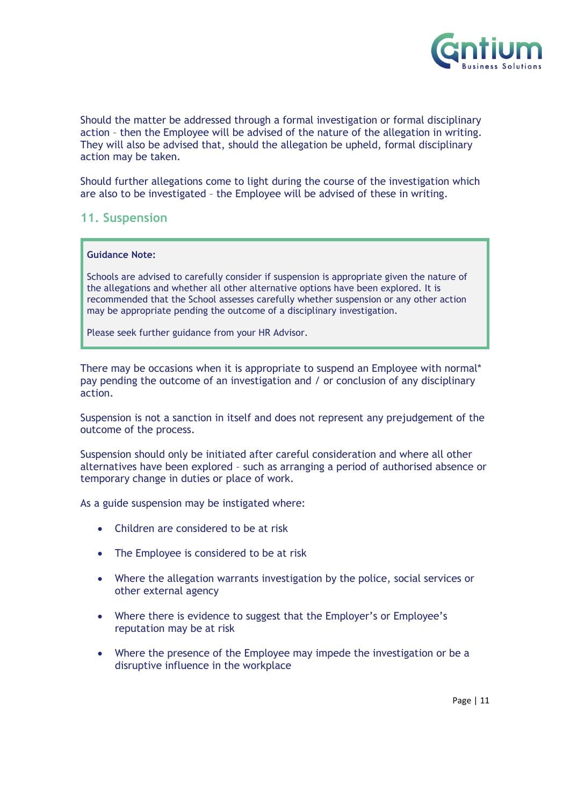

Should the matter be addressed through a formal investigation or formal disciplinary action – then the Employee will be advised of the nature of the allegation in writing. They will also be advised that, should the allegation be upheld, formal disciplinary action may be taken.

Should further allegations come to light during the course of the investigation which are also to be investigated – the Employee will be advised of these in writing.

#### <span id="page-10-0"></span>**11. Suspension**

#### **Guidance Note:**

Schools are advised to carefully consider if suspension is appropriate given the nature of the allegations and whether all other alternative options have been explored. It is recommended that the School assesses carefully whether suspension or any other action may be appropriate pending the outcome of a disciplinary investigation.

Please seek further guidance from your HR Advisor.

There may be occasions when it is appropriate to suspend an Employee with normal\* pay pending the outcome of an investigation and / or conclusion of any disciplinary action.

Suspension is not a sanction in itself and does not represent any prejudgement of the outcome of the process.

Suspension should only be initiated after careful consideration and where all other alternatives have been explored – such as arranging a period of authorised absence or temporary change in duties or place of work.

As a guide suspension may be instigated where:

- Children are considered to be at risk
- The Employee is considered to be at risk
- Where the allegation warrants investigation by the police, social services or other external agency
- Where there is evidence to suggest that the Employer's or Employee's reputation may be at risk
- Where the presence of the Employee may impede the investigation or be a disruptive influence in the workplace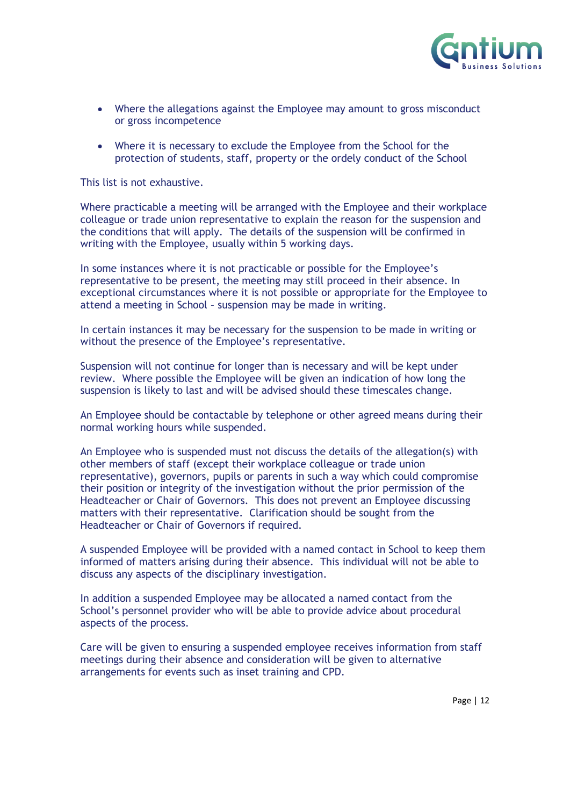

- Where the allegations against the Employee may amount to gross misconduct or gross incompetence
- Where it is necessary to exclude the Employee from the School for the protection of students, staff, property or the ordely conduct of the School

This list is not exhaustive.

Where practicable a meeting will be arranged with the Employee and their workplace colleague or trade union representative to explain the reason for the suspension and the conditions that will apply. The details of the suspension will be confirmed in writing with the Employee, usually within 5 working days.

In some instances where it is not practicable or possible for the Employee's representative to be present, the meeting may still proceed in their absence. In exceptional circumstances where it is not possible or appropriate for the Employee to attend a meeting in School – suspension may be made in writing.

In certain instances it may be necessary for the suspension to be made in writing or without the presence of the Employee's representative.

Suspension will not continue for longer than is necessary and will be kept under review. Where possible the Employee will be given an indication of how long the suspension is likely to last and will be advised should these timescales change.

An Employee should be contactable by telephone or other agreed means during their normal working hours while suspended.

An Employee who is suspended must not discuss the details of the allegation(s) with other members of staff (except their workplace colleague or trade union representative), governors, pupils or parents in such a way which could compromise their position or integrity of the investigation without the prior permission of the Headteacher or Chair of Governors. This does not prevent an Employee discussing matters with their representative. Clarification should be sought from the Headteacher or Chair of Governors if required.

A suspended Employee will be provided with a named contact in School to keep them informed of matters arising during their absence. This individual will not be able to discuss any aspects of the disciplinary investigation.

In addition a suspended Employee may be allocated a named contact from the School's personnel provider who will be able to provide advice about procedural aspects of the process.

Care will be given to ensuring a suspended employee receives information from staff meetings during their absence and consideration will be given to alternative arrangements for events such as inset training and CPD.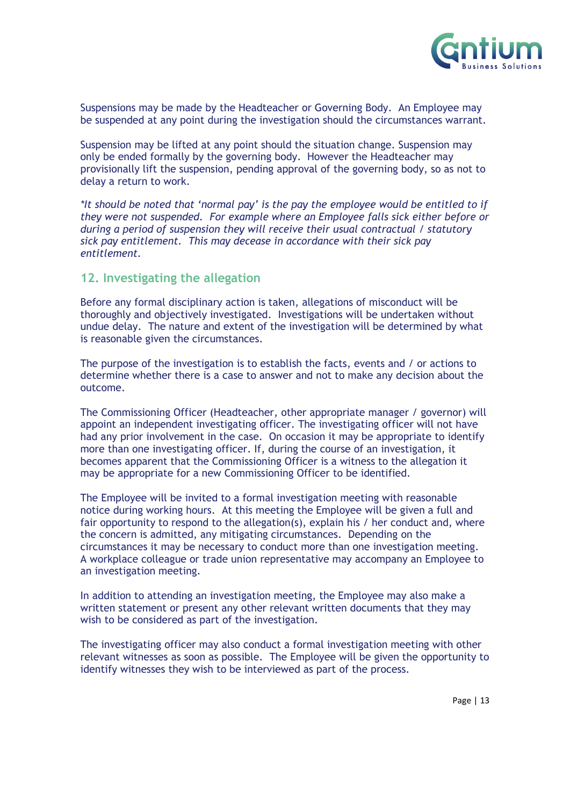

Suspensions may be made by the Headteacher or Governing Body. An Employee may be suspended at any point during the investigation should the circumstances warrant.

Suspension may be lifted at any point should the situation change. Suspension may only be ended formally by the governing body. However the Headteacher may provisionally lift the suspension, pending approval of the governing body, so as not to delay a return to work.

*\*It should be noted that 'normal pay' is the pay the employee would be entitled to if they were not suspended. For example where an Employee falls sick either before or during a period of suspension they will receive their usual contractual / statutory sick pay entitlement. This may decease in accordance with their sick pay entitlement.*

#### <span id="page-12-0"></span>**12. Investigating the allegation**

Before any formal disciplinary action is taken, allegations of misconduct will be thoroughly and objectively investigated. Investigations will be undertaken without undue delay. The nature and extent of the investigation will be determined by what is reasonable given the circumstances.

The purpose of the investigation is to establish the facts, events and / or actions to determine whether there is a case to answer and not to make any decision about the outcome.

The Commissioning Officer (Headteacher, other appropriate manager / governor) will appoint an independent investigating officer. The investigating officer will not have had any prior involvement in the case. On occasion it may be appropriate to identify more than one investigating officer. If, during the course of an investigation, it becomes apparent that the Commissioning Officer is a witness to the allegation it may be appropriate for a new Commissioning Officer to be identified.

The Employee will be invited to a formal investigation meeting with reasonable notice during working hours. At this meeting the Employee will be given a full and fair opportunity to respond to the allegation(s), explain his / her conduct and, where the concern is admitted, any mitigating circumstances. Depending on the circumstances it may be necessary to conduct more than one investigation meeting. A workplace colleague or trade union representative may accompany an Employee to an investigation meeting.

In addition to attending an investigation meeting, the Employee may also make a written statement or present any other relevant written documents that they may wish to be considered as part of the investigation.

The investigating officer may also conduct a formal investigation meeting with other relevant witnesses as soon as possible. The Employee will be given the opportunity to identify witnesses they wish to be interviewed as part of the process.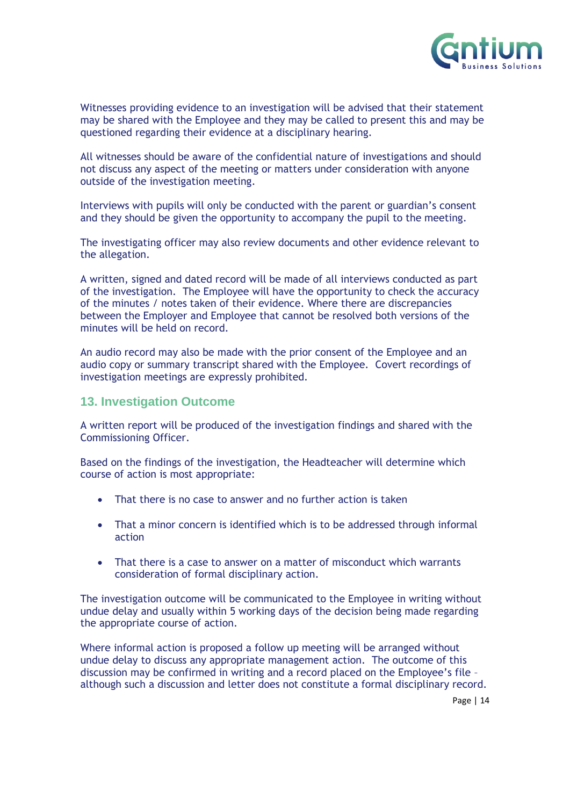

Witnesses providing evidence to an investigation will be advised that their statement may be shared with the Employee and they may be called to present this and may be questioned regarding their evidence at a disciplinary hearing.

All witnesses should be aware of the confidential nature of investigations and should not discuss any aspect of the meeting or matters under consideration with anyone outside of the investigation meeting.

Interviews with pupils will only be conducted with the parent or guardian's consent and they should be given the opportunity to accompany the pupil to the meeting.

The investigating officer may also review documents and other evidence relevant to the allegation.

A written, signed and dated record will be made of all interviews conducted as part of the investigation. The Employee will have the opportunity to check the accuracy of the minutes / notes taken of their evidence. Where there are discrepancies between the Employer and Employee that cannot be resolved both versions of the minutes will be held on record.

An audio record may also be made with the prior consent of the Employee and an audio copy or summary transcript shared with the Employee. Covert recordings of investigation meetings are expressly prohibited.

#### <span id="page-13-0"></span>**13. Investigation Outcome**

A written report will be produced of the investigation findings and shared with the Commissioning Officer.

Based on the findings of the investigation, the Headteacher will determine which course of action is most appropriate:

- That there is no case to answer and no further action is taken
- That a minor concern is identified which is to be addressed through informal action
- That there is a case to answer on a matter of misconduct which warrants consideration of formal disciplinary action.

The investigation outcome will be communicated to the Employee in writing without undue delay and usually within 5 working days of the decision being made regarding the appropriate course of action.

Where informal action is proposed a follow up meeting will be arranged without undue delay to discuss any appropriate management action. The outcome of this discussion may be confirmed in writing and a record placed on the Employee's file – although such a discussion and letter does not constitute a formal disciplinary record.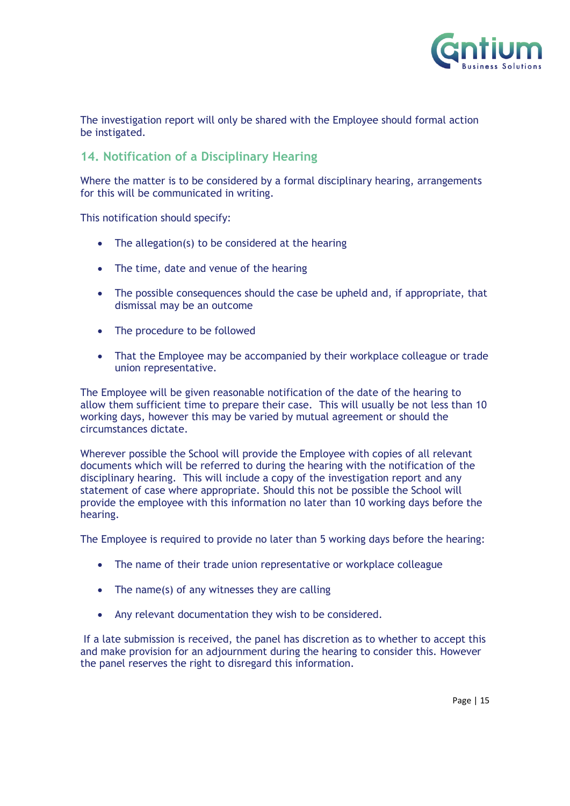

The investigation report will only be shared with the Employee should formal action be instigated.

#### <span id="page-14-0"></span>**14. Notification of a Disciplinary Hearing**

Where the matter is to be considered by a formal disciplinary hearing, arrangements for this will be communicated in writing.

This notification should specify:

- The allegation(s) to be considered at the hearing
- The time, date and venue of the hearing
- The possible consequences should the case be upheld and, if appropriate, that dismissal may be an outcome
- The procedure to be followed
- That the Employee may be accompanied by their workplace colleague or trade union representative.

The Employee will be given reasonable notification of the date of the hearing to allow them sufficient time to prepare their case. This will usually be not less than 10 working days, however this may be varied by mutual agreement or should the circumstances dictate.

Wherever possible the School will provide the Employee with copies of all relevant documents which will be referred to during the hearing with the notification of the disciplinary hearing. This will include a copy of the investigation report and any statement of case where appropriate. Should this not be possible the School will provide the employee with this information no later than 10 working days before the hearing.

The Employee is required to provide no later than 5 working days before the hearing:

- The name of their trade union representative or workplace colleague
- The name(s) of any witnesses they are calling
- Any relevant documentation they wish to be considered.

If a late submission is received, the panel has discretion as to whether to accept this and make provision for an adjournment during the hearing to consider this. However the panel reserves the right to disregard this information.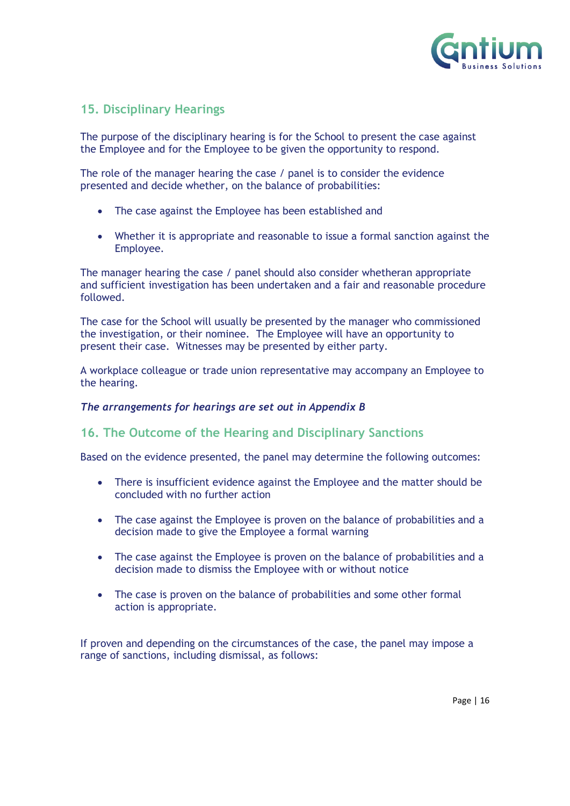

#### <span id="page-15-0"></span>**15. Disciplinary Hearings**

The purpose of the disciplinary hearing is for the School to present the case against the Employee and for the Employee to be given the opportunity to respond.

The role of the manager hearing the case / panel is to consider the evidence presented and decide whether, on the balance of probabilities:

- The case against the Employee has been established and
- Whether it is appropriate and reasonable to issue a formal sanction against the Employee.

The manager hearing the case / panel should also consider whetheran appropriate and sufficient investigation has been undertaken and a fair and reasonable procedure followed.

The case for the School will usually be presented by the manager who commissioned the investigation, or their nominee. The Employee will have an opportunity to present their case. Witnesses may be presented by either party.

A workplace colleague or trade union representative may accompany an Employee to the hearing.

#### *The arrangements for hearings are set out in Appendix B*

#### <span id="page-15-1"></span>**16. The Outcome of the Hearing and Disciplinary Sanctions**

Based on the evidence presented, the panel may determine the following outcomes:

- There is insufficient evidence against the Employee and the matter should be concluded with no further action
- The case against the Employee is proven on the balance of probabilities and a decision made to give the Employee a formal warning
- The case against the Employee is proven on the balance of probabilities and a decision made to dismiss the Employee with or without notice
- The case is proven on the balance of probabilities and some other formal action is appropriate.

If proven and depending on the circumstances of the case, the panel may impose a range of sanctions, including dismissal, as follows: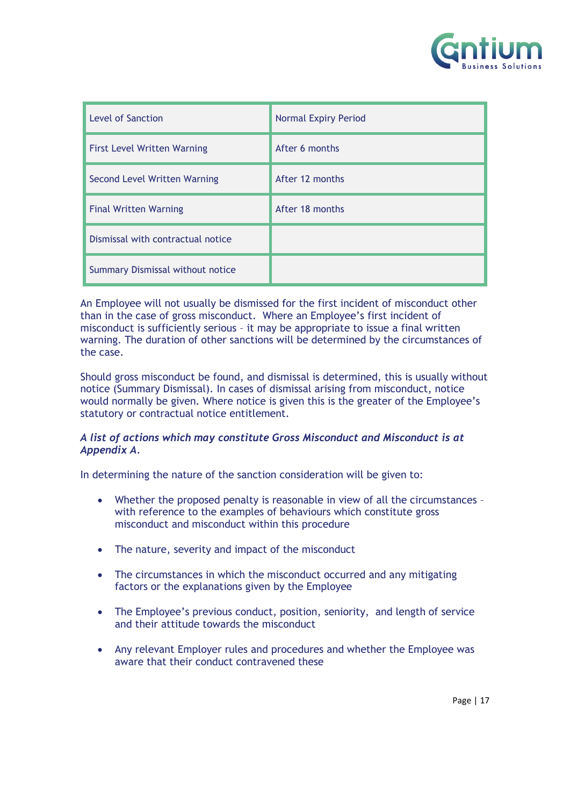

| <b>Level of Sanction</b>           | <b>Normal Expiry Period</b> |
|------------------------------------|-----------------------------|
| <b>First Level Written Warning</b> | After 6 months              |
| Second Level Written Warning       | After 12 months             |
| <b>Final Written Warning</b>       | After 18 months             |
| Dismissal with contractual notice  |                             |
| Summary Dismissal without notice   |                             |

An Employee will not usually be dismissed for the first incident of misconduct other than in the case of gross misconduct. Where an Employee's first incident of misconduct is sufficiently serious – it may be appropriate to issue a final written warning. The duration of other sanctions will be determined by the circumstances of the case.

Should gross misconduct be found, and dismissal is determined, this is usually without notice (Summary Dismissal). In cases of dismissal arising from misconduct, notice would normally be given. Where notice is given this is the greater of the Employee's statutory or contractual notice entitlement.

#### *A list of actions which may constitute Gross Misconduct and Misconduct is at Appendix A.*

In determining the nature of the sanction consideration will be given to:

- Whether the proposed penalty is reasonable in view of all the circumstances with reference to the examples of behaviours which constitute gross misconduct and misconduct within this procedure
- The nature, severity and impact of the misconduct
- The circumstances in which the misconduct occurred and any mitigating factors or the explanations given by the Employee
- The Employee's previous conduct, position, seniority, and length of service and their attitude towards the misconduct
- Any relevant Employer rules and procedures and whether the Employee was aware that their conduct contravened these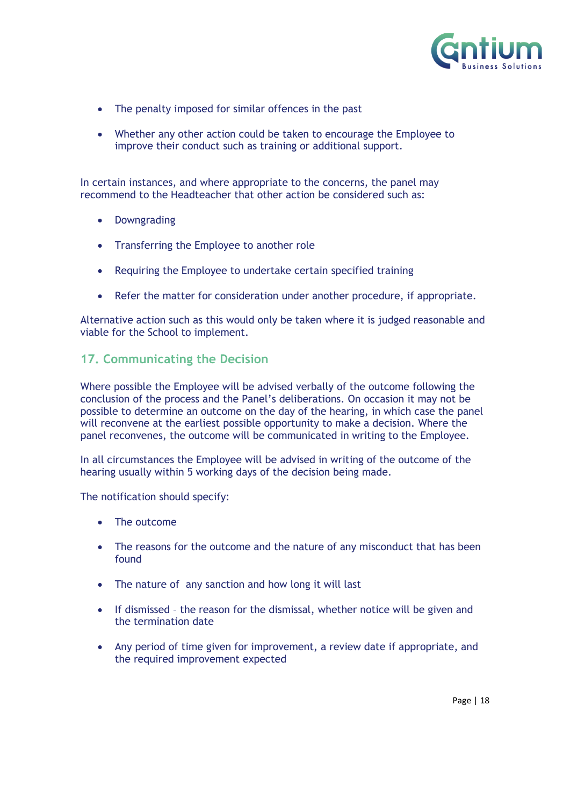

- The penalty imposed for similar offences in the past
- Whether any other action could be taken to encourage the Employee to improve their conduct such as training or additional support.

In certain instances, and where appropriate to the concerns, the panel may recommend to the Headteacher that other action be considered such as:

- Downgrading
- Transferring the Employee to another role
- Requiring the Employee to undertake certain specified training
- Refer the matter for consideration under another procedure, if appropriate.

Alternative action such as this would only be taken where it is judged reasonable and viable for the School to implement.

#### <span id="page-17-0"></span>**17. Communicating the Decision**

Where possible the Employee will be advised verbally of the outcome following the conclusion of the process and the Panel's deliberations. On occasion it may not be possible to determine an outcome on the day of the hearing, in which case the panel will reconvene at the earliest possible opportunity to make a decision. Where the panel reconvenes, the outcome will be communicated in writing to the Employee.

In all circumstances the Employee will be advised in writing of the outcome of the hearing usually within 5 working days of the decision being made.

The notification should specify:

- The outcome
- The reasons for the outcome and the nature of any misconduct that has been found
- The nature of any sanction and how long it will last
- If dismissed the reason for the dismissal, whether notice will be given and the termination date
- Any period of time given for improvement, a review date if appropriate, and the required improvement expected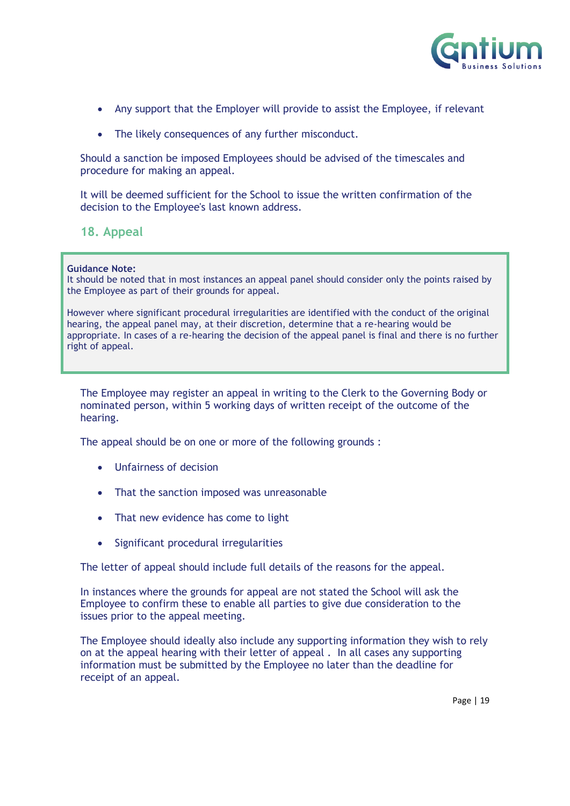

- Any support that the Employer will provide to assist the Employee, if relevant
- The likely consequences of any further misconduct.

Should a sanction be imposed Employees should be advised of the timescales and procedure for making an appeal.

It will be deemed sufficient for the School to issue the written confirmation of the decision to the Employee's last known address.

<span id="page-18-0"></span>**18. Appeal**

**Guidance Note:** 

It should be noted that in most instances an appeal panel should consider only the points raised by the Employee as part of their grounds for appeal.

However where significant procedural irregularities are identified with the conduct of the original hearing, the appeal panel may, at their discretion, determine that a re-hearing would be appropriate. In cases of a re-hearing the decision of the appeal panel is final and there is no further right of appeal.

The Employee may register an appeal in writing to the Clerk to the Governing Body or nominated person, within 5 working days of written receipt of the outcome of the hearing.

The appeal should be on one or more of the following grounds :

- Unfairness of decision
- That the sanction imposed was unreasonable
- That new evidence has come to light
- Significant procedural irregularities

The letter of appeal should include full details of the reasons for the appeal.

In instances where the grounds for appeal are not stated the School will ask the Employee to confirm these to enable all parties to give due consideration to the issues prior to the appeal meeting.

The Employee should ideally also include any supporting information they wish to rely on at the appeal hearing with their letter of appeal . In all cases any supporting information must be submitted by the Employee no later than the deadline for receipt of an appeal.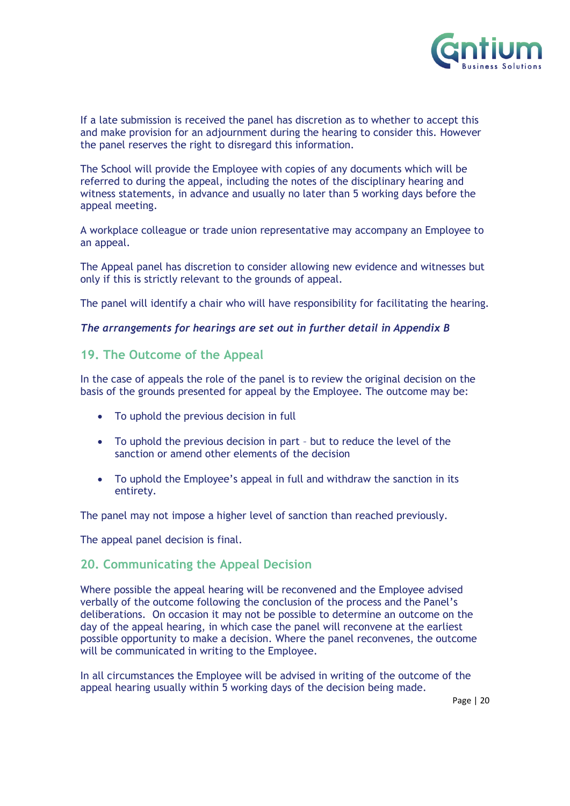

If a late submission is received the panel has discretion as to whether to accept this and make provision for an adjournment during the hearing to consider this. However the panel reserves the right to disregard this information.

The School will provide the Employee with copies of any documents which will be referred to during the appeal, including the notes of the disciplinary hearing and witness statements, in advance and usually no later than 5 working days before the appeal meeting.

A workplace colleague or trade union representative may accompany an Employee to an appeal.

The Appeal panel has discretion to consider allowing new evidence and witnesses but only if this is strictly relevant to the grounds of appeal.

The panel will identify a chair who will have responsibility for facilitating the hearing.

#### *The arrangements for hearings are set out in further detail in Appendix B*

#### <span id="page-19-0"></span>**19. The Outcome of the Appeal**

In the case of appeals the role of the panel is to review the original decision on the basis of the grounds presented for appeal by the Employee. The outcome may be:

- To uphold the previous decision in full
- To uphold the previous decision in part but to reduce the level of the sanction or amend other elements of the decision
- To uphold the Employee's appeal in full and withdraw the sanction in its entirety.

The panel may not impose a higher level of sanction than reached previously.

The appeal panel decision is final.

#### <span id="page-19-1"></span>**20. Communicating the Appeal Decision**

Where possible the appeal hearing will be reconvened and the Employee advised verbally of the outcome following the conclusion of the process and the Panel's deliberations. On occasion it may not be possible to determine an outcome on the day of the appeal hearing, in which case the panel will reconvene at the earliest possible opportunity to make a decision. Where the panel reconvenes, the outcome will be communicated in writing to the Employee.

In all circumstances the Employee will be advised in writing of the outcome of the appeal hearing usually within 5 working days of the decision being made.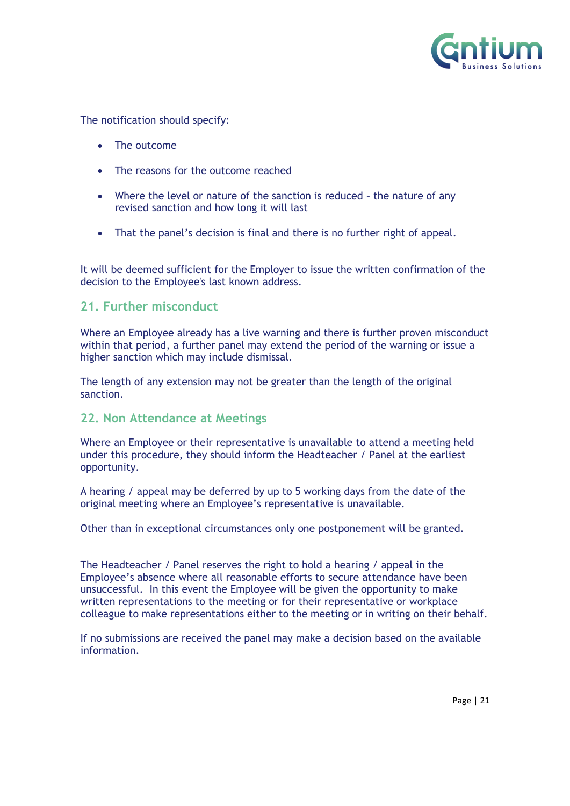

The notification should specify:

- The outcome
- The reasons for the outcome reached
- Where the level or nature of the sanction is reduced the nature of any revised sanction and how long it will last
- That the panel's decision is final and there is no further right of appeal.

It will be deemed sufficient for the Employer to issue the written confirmation of the decision to the Employee's last known address.

#### <span id="page-20-0"></span>**21. Further misconduct**

Where an Employee already has a live warning and there is further proven misconduct within that period, a further panel may extend the period of the warning or issue a higher sanction which may include dismissal.

The length of any extension may not be greater than the length of the original sanction.

#### <span id="page-20-1"></span>**22. Non Attendance at Meetings**

Where an Employee or their representative is unavailable to attend a meeting held under this procedure, they should inform the Headteacher / Panel at the earliest opportunity.

A hearing / appeal may be deferred by up to 5 working days from the date of the original meeting where an Employee's representative is unavailable.

Other than in exceptional circumstances only one postponement will be granted.

The Headteacher / Panel reserves the right to hold a hearing / appeal in the Employee's absence where all reasonable efforts to secure attendance have been unsuccessful. In this event the Employee will be given the opportunity to make written representations to the meeting or for their representative or workplace colleague to make representations either to the meeting or in writing on their behalf.

If no submissions are received the panel may make a decision based on the available information.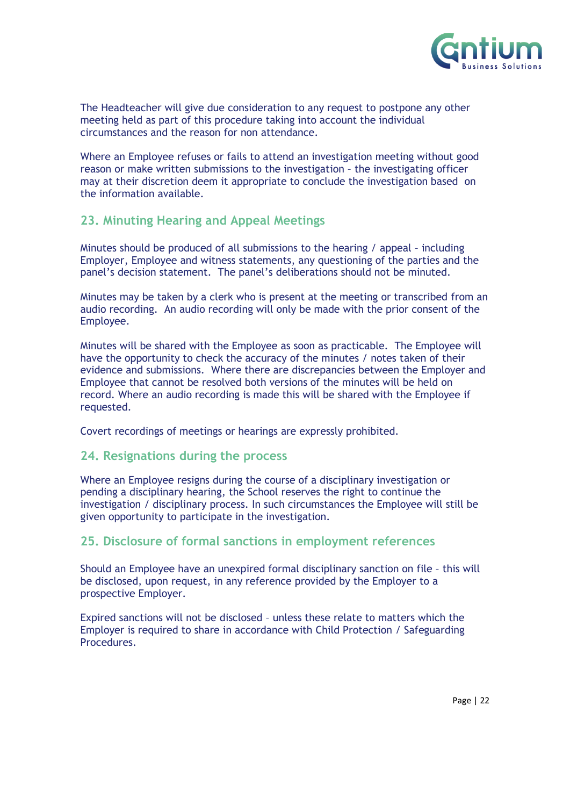

The Headteacher will give due consideration to any request to postpone any other meeting held as part of this procedure taking into account the individual circumstances and the reason for non attendance.

Where an Employee refuses or fails to attend an investigation meeting without good reason or make written submissions to the investigation – the investigating officer may at their discretion deem it appropriate to conclude the investigation based on the information available.

#### <span id="page-21-0"></span>**23. Minuting Hearing and Appeal Meetings**

Minutes should be produced of all submissions to the hearing / appeal – including Employer, Employee and witness statements, any questioning of the parties and the panel's decision statement. The panel's deliberations should not be minuted.

Minutes may be taken by a clerk who is present at the meeting or transcribed from an audio recording. An audio recording will only be made with the prior consent of the Employee.

Minutes will be shared with the Employee as soon as practicable. The Employee will have the opportunity to check the accuracy of the minutes / notes taken of their evidence and submissions. Where there are discrepancies between the Employer and Employee that cannot be resolved both versions of the minutes will be held on record. Where an audio recording is made this will be shared with the Employee if requested.

Covert recordings of meetings or hearings are expressly prohibited.

#### <span id="page-21-1"></span>**24. Resignations during the process**

Where an Employee resigns during the course of a disciplinary investigation or pending a disciplinary hearing, the School reserves the right to continue the investigation / disciplinary process. In such circumstances the Employee will still be given opportunity to participate in the investigation.

#### <span id="page-21-2"></span>**25. Disclosure of formal sanctions in employment references**

Should an Employee have an unexpired formal disciplinary sanction on file – this will be disclosed, upon request, in any reference provided by the Employer to a prospective Employer.

Expired sanctions will not be disclosed – unless these relate to matters which the Employer is required to share in accordance with Child Protection / Safeguarding Procedures.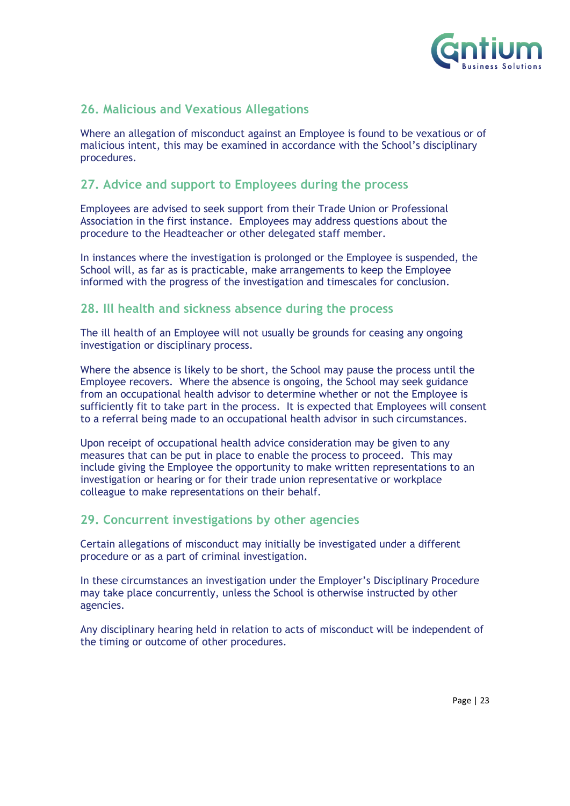

#### <span id="page-22-0"></span>**26. Malicious and Vexatious Allegations**

Where an allegation of misconduct against an Employee is found to be vexatious or of malicious intent, this may be examined in accordance with the School's disciplinary procedures.

#### <span id="page-22-1"></span>**27. Advice and support to Employees during the process**

Employees are advised to seek support from their Trade Union or Professional Association in the first instance. Employees may address questions about the procedure to the Headteacher or other delegated staff member.

In instances where the investigation is prolonged or the Employee is suspended, the School will, as far as is practicable, make arrangements to keep the Employee informed with the progress of the investigation and timescales for conclusion.

#### <span id="page-22-2"></span>**28. Ill health and sickness absence during the process**

The ill health of an Employee will not usually be grounds for ceasing any ongoing investigation or disciplinary process.

Where the absence is likely to be short, the School may pause the process until the Employee recovers. Where the absence is ongoing, the School may seek guidance from an occupational health advisor to determine whether or not the Employee is sufficiently fit to take part in the process. It is expected that Employees will consent to a referral being made to an occupational health advisor in such circumstances.

Upon receipt of occupational health advice consideration may be given to any measures that can be put in place to enable the process to proceed. This may include giving the Employee the opportunity to make written representations to an investigation or hearing or for their trade union representative or workplace colleague to make representations on their behalf.

#### <span id="page-22-3"></span>**29. Concurrent investigations by other agencies**

Certain allegations of misconduct may initially be investigated under a different procedure or as a part of criminal investigation.

In these circumstances an investigation under the Employer's Disciplinary Procedure may take place concurrently, unless the School is otherwise instructed by other agencies.

Any disciplinary hearing held in relation to acts of misconduct will be independent of the timing or outcome of other procedures.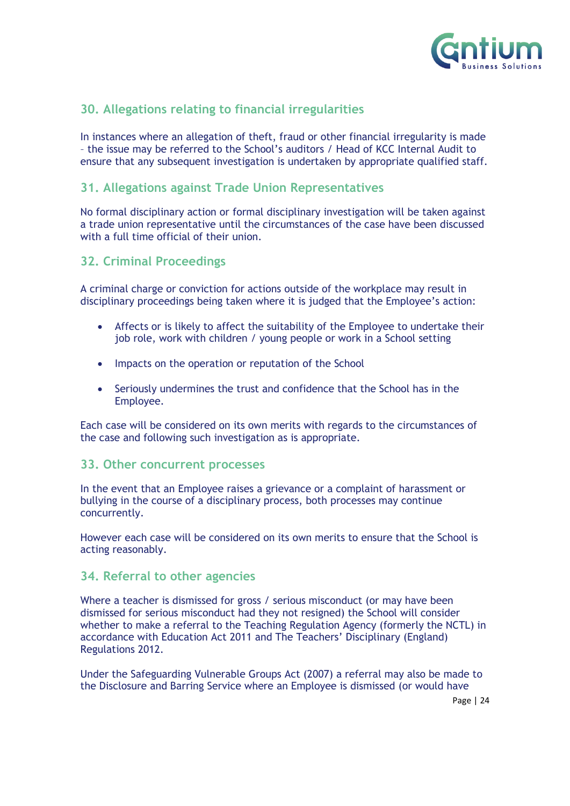

#### <span id="page-23-0"></span>**30. Allegations relating to financial irregularities**

In instances where an allegation of theft, fraud or other financial irregularity is made – the issue may be referred to the School's auditors / Head of KCC Internal Audit to ensure that any subsequent investigation is undertaken by appropriate qualified staff.

#### <span id="page-23-1"></span>**31. Allegations against Trade Union Representatives**

No formal disciplinary action or formal disciplinary investigation will be taken against a trade union representative until the circumstances of the case have been discussed with a full time official of their union.

#### <span id="page-23-2"></span>**32. Criminal Proceedings**

A criminal charge or conviction for actions outside of the workplace may result in disciplinary proceedings being taken where it is judged that the Employee's action:

- Affects or is likely to affect the suitability of the Employee to undertake their job role, work with children / young people or work in a School setting
- Impacts on the operation or reputation of the School
- Seriously undermines the trust and confidence that the School has in the Employee.

Each case will be considered on its own merits with regards to the circumstances of the case and following such investigation as is appropriate.

#### **33. Other concurrent processes**

In the event that an Employee raises a grievance or a complaint of harassment or bullying in the course of a disciplinary process, both processes may continue concurrently.

However each case will be considered on its own merits to ensure that the School is acting reasonably.

#### <span id="page-23-3"></span>**34. Referral to other agencies**

Where a teacher is dismissed for gross / serious misconduct (or may have been dismissed for serious misconduct had they not resigned) the School will consider whether to make a referral to the Teaching Regulation Agency (formerly the NCTL) in accordance with Education Act 2011 and The Teachers' Disciplinary (England) Regulations 2012.

Under the Safeguarding Vulnerable Groups Act (2007) a referral may also be made to the Disclosure and Barring Service where an Employee is dismissed (or would have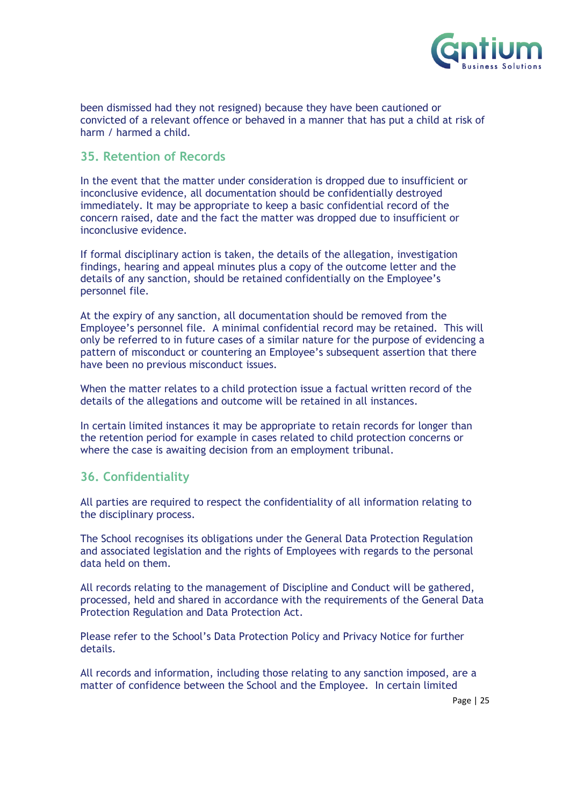

been dismissed had they not resigned) because they have been cautioned or convicted of a relevant offence or behaved in a manner that has put a child at risk of harm / harmed a child.

#### <span id="page-24-0"></span>**35. Retention of Records**

In the event that the matter under consideration is dropped due to insufficient or inconclusive evidence, all documentation should be confidentially destroyed immediately. It may be appropriate to keep a basic confidential record of the concern raised, date and the fact the matter was dropped due to insufficient or inconclusive evidence.

If formal disciplinary action is taken, the details of the allegation, investigation findings, hearing and appeal minutes plus a copy of the outcome letter and the details of any sanction, should be retained confidentially on the Employee's personnel file.

At the expiry of any sanction, all documentation should be removed from the Employee's personnel file. A minimal confidential record may be retained. This will only be referred to in future cases of a similar nature for the purpose of evidencing a pattern of misconduct or countering an Employee's subsequent assertion that there have been no previous misconduct issues.

When the matter relates to a child protection issue a factual written record of the details of the allegations and outcome will be retained in all instances.

In certain limited instances it may be appropriate to retain records for longer than the retention period for example in cases related to child protection concerns or where the case is awaiting decision from an employment tribunal.

#### <span id="page-24-1"></span>**36. Confidentiality**

All parties are required to respect the confidentiality of all information relating to the disciplinary process.

The School recognises its obligations under the General Data Protection Regulation and associated legislation and the rights of Employees with regards to the personal data held on them.

All records relating to the management of Discipline and Conduct will be gathered, processed, held and shared in accordance with the requirements of the General Data Protection Regulation and Data Protection Act.

Please refer to the School's Data Protection Policy and Privacy Notice for further details.

All records and information, including those relating to any sanction imposed, are a matter of confidence between the School and the Employee. In certain limited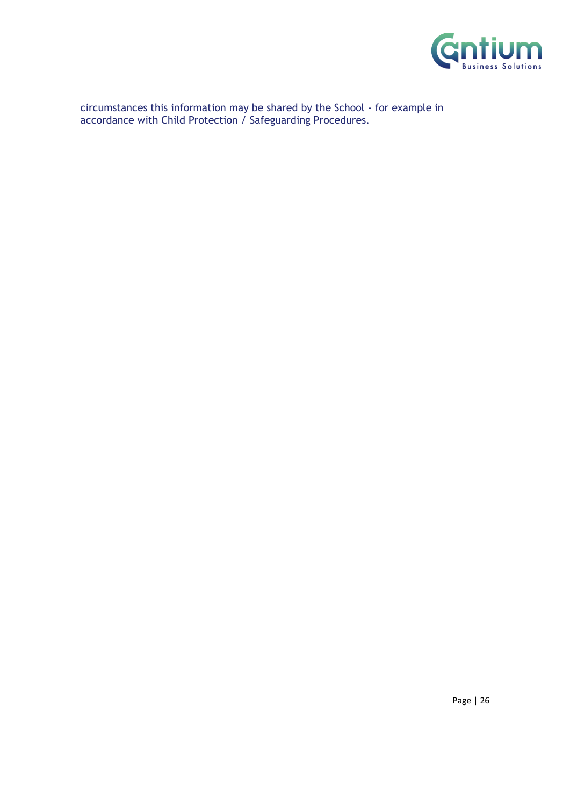

circumstances this information may be shared by the School - for example in accordance with Child Protection / Safeguarding Procedures.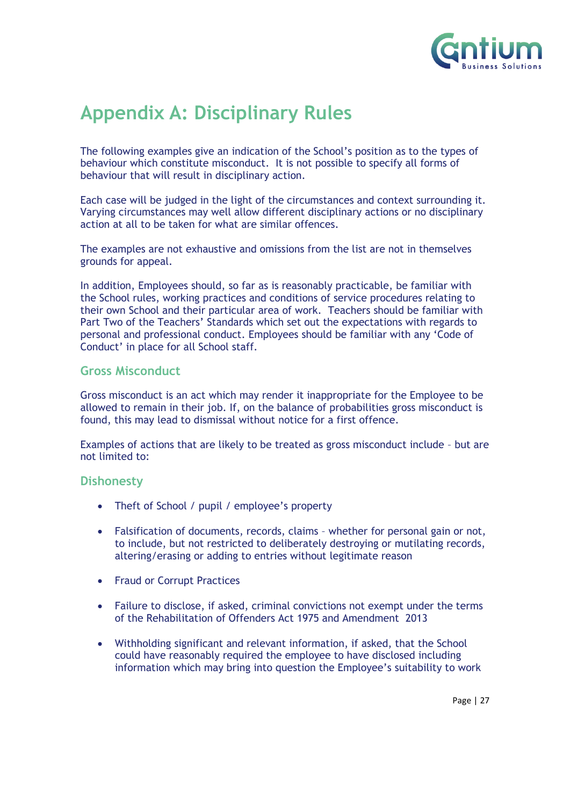

## <span id="page-26-0"></span>**Appendix A: Disciplinary Rules**

The following examples give an indication of the School's position as to the types of behaviour which constitute misconduct. It is not possible to specify all forms of behaviour that will result in disciplinary action.

Each case will be judged in the light of the circumstances and context surrounding it. Varying circumstances may well allow different disciplinary actions or no disciplinary action at all to be taken for what are similar offences.

The examples are not exhaustive and omissions from the list are not in themselves grounds for appeal.

In addition, Employees should, so far as is reasonably practicable, be familiar with the School rules, working practices and conditions of service procedures relating to their own School and their particular area of work. Teachers should be familiar with Part Two of the Teachers' Standards which set out the expectations with regards to personal and professional conduct. Employees should be familiar with any 'Code of Conduct' in place for all School staff.

#### **Gross Misconduct**

Gross misconduct is an act which may render it inappropriate for the Employee to be allowed to remain in their job. If, on the balance of probabilities gross misconduct is found, this may lead to dismissal without notice for a first offence.

Examples of actions that are likely to be treated as gross misconduct include – but are not limited to:

#### **Dishonesty**

- Theft of School / pupil / employee's property
- Falsification of documents, records, claims whether for personal gain or not, to include, but not restricted to deliberately destroying or mutilating records, altering/erasing or adding to entries without legitimate reason
- Fraud or Corrupt Practices
- Failure to disclose, if asked, criminal convictions not exempt under the terms of the Rehabilitation of Offenders Act 1975 and Amendment 2013
- Withholding significant and relevant information, if asked, that the School could have reasonably required the employee to have disclosed including information which may bring into question the Employee's suitability to work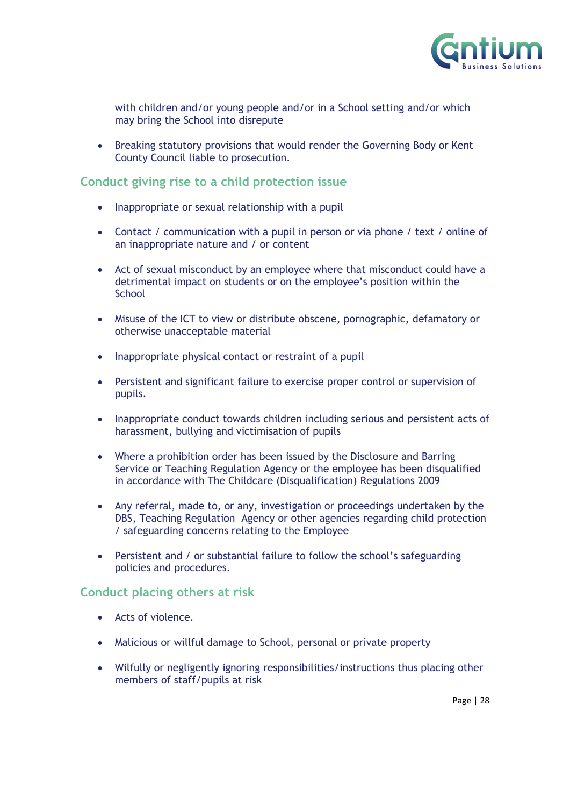

with children and/or young people and/or in a School setting and/or which may bring the School into disrepute

• Breaking statutory provisions that would render the Governing Body or Kent County Council liable to prosecution.

#### **Conduct giving rise to a child protection issue**

- Inappropriate or sexual relationship with a pupil
- Contact / communication with a pupil in person or via phone / text / online of an inappropriate nature and / or content
- Act of sexual misconduct by an employee where that misconduct could have a detrimental impact on students or on the employee's position within the **School**
- Misuse of the ICT to view or distribute obscene, pornographic, defamatory or otherwise unacceptable material
- Inappropriate physical contact or restraint of a pupil
- Persistent and significant failure to exercise proper control or supervision of pupils.
- Inappropriate conduct towards children including serious and persistent acts of harassment, bullying and victimisation of pupils
- Where a prohibition order has been issued by the Disclosure and Barring Service or Teaching Regulation Agency or the employee has been disqualified in accordance with The Childcare (Disqualification) Regulations 2009
- Any referral, made to, or any, investigation or proceedings undertaken by the DBS, Teaching Regulation Agency or other agencies regarding child protection / safeguarding concerns relating to the Employee
- Persistent and / or substantial failure to follow the school's safeguarding policies and procedures.

#### **Conduct placing others at risk**

- Acts of violence.
- Malicious or willful damage to School, personal or private property
- Wilfully or negligently ignoring responsibilities/instructions thus placing other members of staff/pupils at risk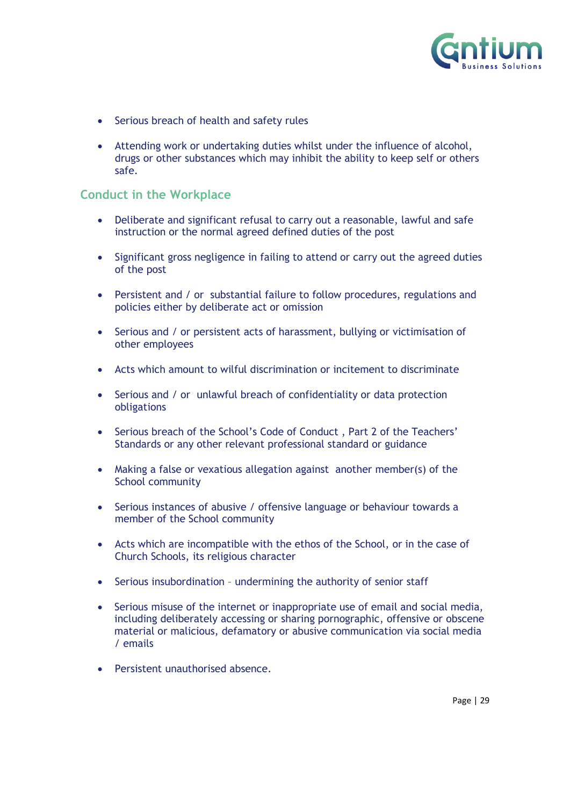

- Serious breach of health and safety rules
- Attending work or undertaking duties whilst under the influence of alcohol, drugs or other substances which may inhibit the ability to keep self or others safe.

#### **Conduct in the Workplace**

- Deliberate and significant refusal to carry out a reasonable, lawful and safe instruction or the normal agreed defined duties of the post
- Significant gross negligence in failing to attend or carry out the agreed duties of the post
- Persistent and / or substantial failure to follow procedures, regulations and policies either by deliberate act or omission
- Serious and / or persistent acts of harassment, bullying or victimisation of other employees
- Acts which amount to wilful discrimination or incitement to discriminate
- Serious and / or unlawful breach of confidentiality or data protection obligations
- Serious breach of the School's Code of Conduct , Part 2 of the Teachers' Standards or any other relevant professional standard or guidance
- Making a false or vexatious allegation against another member(s) of the School community
- Serious instances of abusive / offensive language or behaviour towards a member of the School community
- Acts which are incompatible with the ethos of the School, or in the case of Church Schools, its religious character
- Serious insubordination undermining the authority of senior staff
- Serious misuse of the internet or inappropriate use of email and social media, including deliberately accessing or sharing pornographic, offensive or obscene material or malicious, defamatory or abusive communication via social media / emails
- Persistent unauthorised absence.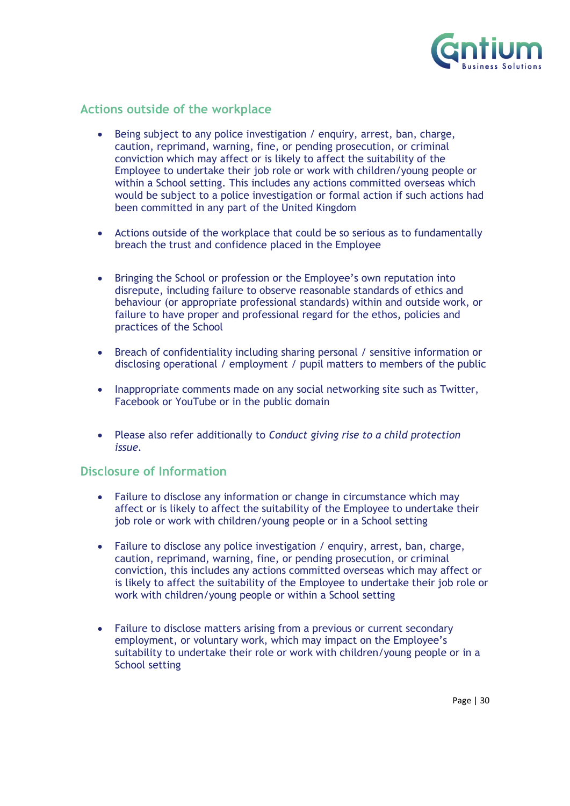

#### **Actions outside of the workplace**

- Being subject to any police investigation / enquiry, arrest, ban, charge, caution, reprimand, warning, fine, or pending prosecution, or criminal conviction which may affect or is likely to affect the suitability of the Employee to undertake their job role or work with children/young people or within a School setting. This includes any actions committed overseas which would be subject to a police investigation or formal action if such actions had been committed in any part of the United Kingdom
- Actions outside of the workplace that could be so serious as to fundamentally breach the trust and confidence placed in the Employee
- Bringing the School or profession or the Employee's own reputation into disrepute, including failure to observe reasonable standards of ethics and behaviour (or appropriate professional standards) within and outside work, or failure to have proper and professional regard for the ethos, policies and practices of the School
- Breach of confidentiality including sharing personal / sensitive information or disclosing operational / employment / pupil matters to members of the public
- Inappropriate comments made on any social networking site such as Twitter, Facebook or YouTube or in the public domain
- Please also refer additionally to *Conduct giving rise to a child protection issue.*

#### **Disclosure of Information**

- Failure to disclose any information or change in circumstance which may affect or is likely to affect the suitability of the Employee to undertake their job role or work with children/young people or in a School setting
- Failure to disclose any police investigation / enquiry, arrest, ban, charge, caution, reprimand, warning, fine, or pending prosecution, or criminal conviction, this includes any actions committed overseas which may affect or is likely to affect the suitability of the Employee to undertake their job role or work with children/young people or within a School setting
- Failure to disclose matters arising from a previous or current secondary employment, or voluntary work, which may impact on the Employee's suitability to undertake their role or work with children/young people or in a School setting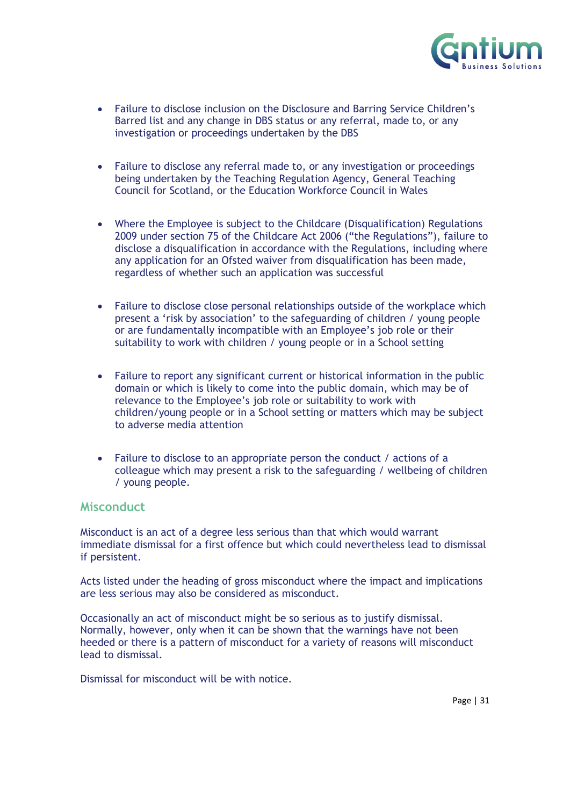

- Failure to disclose inclusion on the Disclosure and Barring Service Children's Barred list and any change in DBS status or any referral, made to, or any investigation or proceedings undertaken by the DBS
- Failure to disclose any referral made to, or any investigation or proceedings being undertaken by the Teaching Regulation Agency, General Teaching Council for Scotland, or the Education Workforce Council in Wales
- Where the Employee is subject to the Childcare (Disqualification) Regulations 2009 under section 75 of the Childcare Act 2006 ("the Regulations"), failure to disclose a disqualification in accordance with the Regulations, including where any application for an Ofsted waiver from disqualification has been made, regardless of whether such an application was successful
- Failure to disclose close personal relationships outside of the workplace which present a 'risk by association' to the safeguarding of children / young people or are fundamentally incompatible with an Employee's job role or their suitability to work with children / young people or in a School setting
- Failure to report any significant current or historical information in the public domain or which is likely to come into the public domain, which may be of relevance to the Employee's job role or suitability to work with children/young people or in a School setting or matters which may be subject to adverse media attention
- Failure to disclose to an appropriate person the conduct / actions of a colleague which may present a risk to the safeguarding / wellbeing of children / young people.

#### **Misconduct**

Misconduct is an act of a degree less serious than that which would warrant immediate dismissal for a first offence but which could nevertheless lead to dismissal if persistent.

Acts listed under the heading of gross misconduct where the impact and implications are less serious may also be considered as misconduct.

Occasionally an act of misconduct might be so serious as to justify dismissal. Normally, however, only when it can be shown that the warnings have not been heeded or there is a pattern of misconduct for a variety of reasons will misconduct lead to dismissal.

Dismissal for misconduct will be with notice.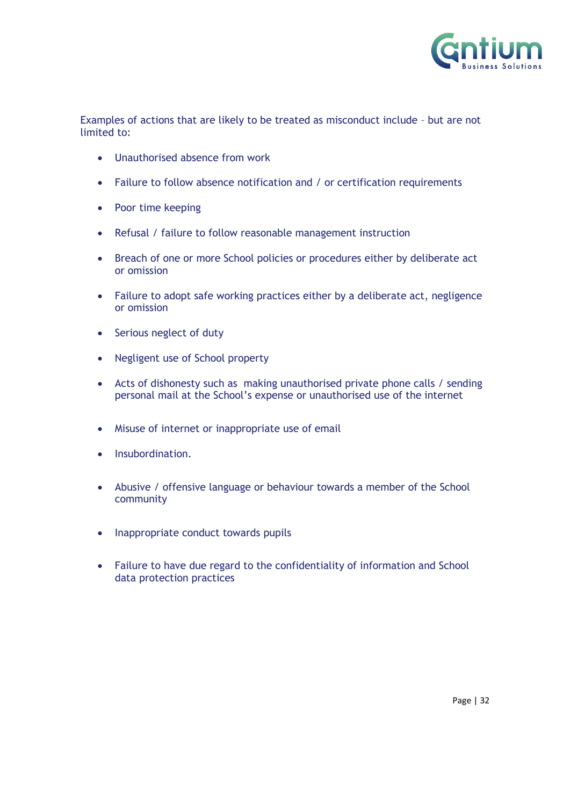

Examples of actions that are likely to be treated as misconduct include – but are not limited to:

- Unauthorised absence from work
- Failure to follow absence notification and / or certification requirements
- Poor time keeping
- Refusal / failure to follow reasonable management instruction
- Breach of one or more School policies or procedures either by deliberate act or omission
- Failure to adopt safe working practices either by a deliberate act, negligence or omission
- Serious neglect of duty
- Negligent use of School property
- Acts of dishonesty such as making unauthorised private phone calls / sending personal mail at the School's expense or unauthorised use of the internet
- Misuse of internet or inappropriate use of email
- Insubordination.
- Abusive / offensive language or behaviour towards a member of the School community
- Inappropriate conduct towards pupils
- Failure to have due regard to the confidentiality of information and School data protection practices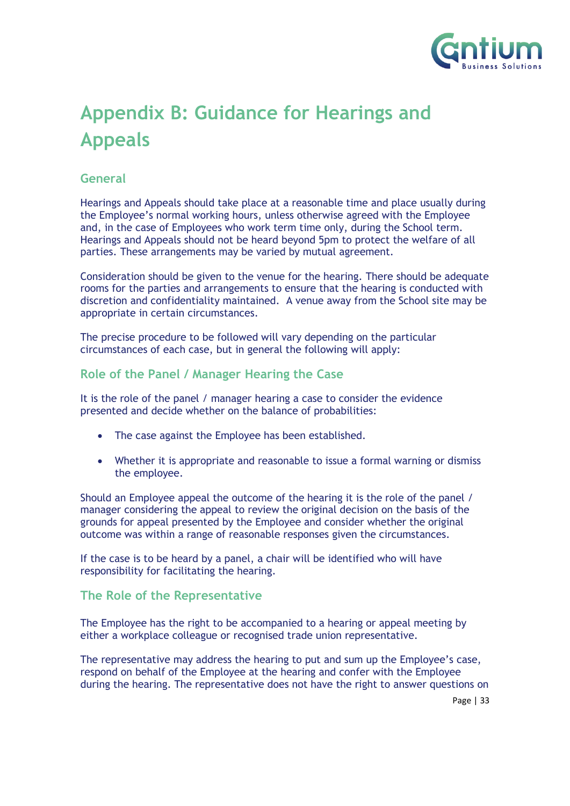

## <span id="page-32-0"></span>**Appendix B: Guidance for Hearings and Appeals**

#### **General**

Hearings and Appeals should take place at a reasonable time and place usually during the Employee's normal working hours, unless otherwise agreed with the Employee and, in the case of Employees who work term time only, during the School term. Hearings and Appeals should not be heard beyond 5pm to protect the welfare of all parties. These arrangements may be varied by mutual agreement.

Consideration should be given to the venue for the hearing. There should be adequate rooms for the parties and arrangements to ensure that the hearing is conducted with discretion and confidentiality maintained. A venue away from the School site may be appropriate in certain circumstances.

The precise procedure to be followed will vary depending on the particular circumstances of each case, but in general the following will apply:

#### **Role of the Panel / Manager Hearing the Case**

It is the role of the panel / manager hearing a case to consider the evidence presented and decide whether on the balance of probabilities:

- The case against the Employee has been established.
- Whether it is appropriate and reasonable to issue a formal warning or dismiss the employee.

Should an Employee appeal the outcome of the hearing it is the role of the panel / manager considering the appeal to review the original decision on the basis of the grounds for appeal presented by the Employee and consider whether the original outcome was within a range of reasonable responses given the circumstances.

If the case is to be heard by a panel, a chair will be identified who will have responsibility for facilitating the hearing.

#### **The Role of the Representative**

The Employee has the right to be accompanied to a hearing or appeal meeting by either a workplace colleague or recognised trade union representative.

The representative may address the hearing to put and sum up the Employee's case, respond on behalf of the Employee at the hearing and confer with the Employee during the hearing. The representative does not have the right to answer questions on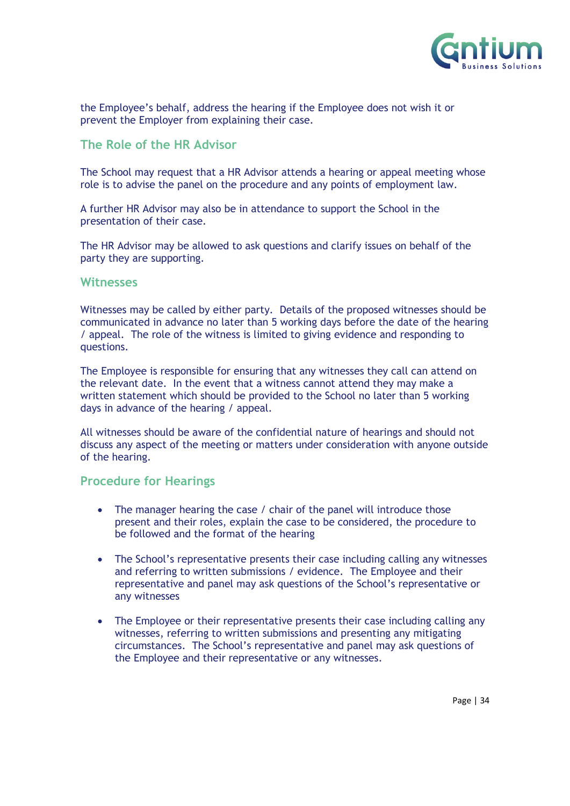

the Employee's behalf, address the hearing if the Employee does not wish it or prevent the Employer from explaining their case.

#### **The Role of the HR Advisor**

The School may request that a HR Advisor attends a hearing or appeal meeting whose role is to advise the panel on the procedure and any points of employment law.

A further HR Advisor may also be in attendance to support the School in the presentation of their case.

The HR Advisor may be allowed to ask questions and clarify issues on behalf of the party they are supporting.

#### **Witnesses**

Witnesses may be called by either party. Details of the proposed witnesses should be communicated in advance no later than 5 working days before the date of the hearing / appeal. The role of the witness is limited to giving evidence and responding to questions.

The Employee is responsible for ensuring that any witnesses they call can attend on the relevant date. In the event that a witness cannot attend they may make a written statement which should be provided to the School no later than 5 working days in advance of the hearing / appeal.

All witnesses should be aware of the confidential nature of hearings and should not discuss any aspect of the meeting or matters under consideration with anyone outside of the hearing.

#### **Procedure for Hearings**

- The manager hearing the case / chair of the panel will introduce those present and their roles, explain the case to be considered, the procedure to be followed and the format of the hearing
- The School's representative presents their case including calling any witnesses and referring to written submissions / evidence. The Employee and their representative and panel may ask questions of the School's representative or any witnesses
- The Employee or their representative presents their case including calling any witnesses, referring to written submissions and presenting any mitigating circumstances. The School's representative and panel may ask questions of the Employee and their representative or any witnesses.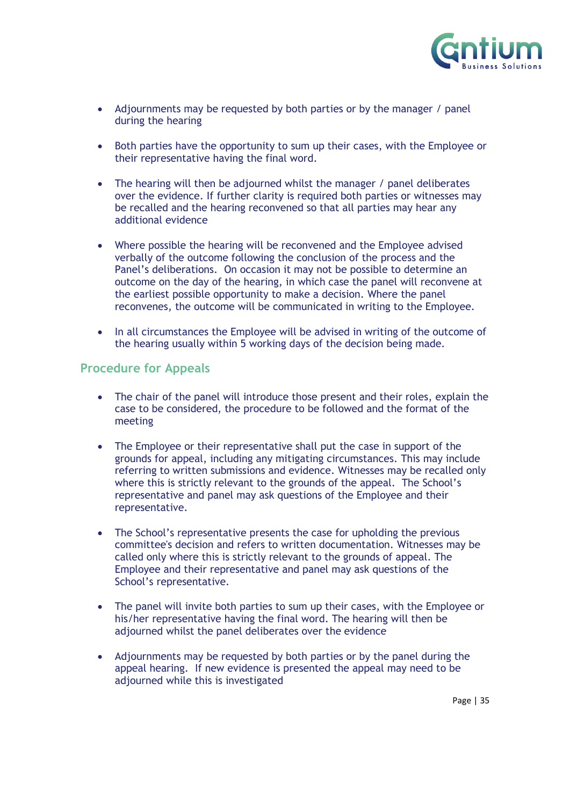

- Adjournments may be requested by both parties or by the manager / panel during the hearing
- Both parties have the opportunity to sum up their cases, with the Employee or their representative having the final word.
- The hearing will then be adjourned whilst the manager / panel deliberates over the evidence. If further clarity is required both parties or witnesses may be recalled and the hearing reconvened so that all parties may hear any additional evidence
- Where possible the hearing will be reconvened and the Employee advised verbally of the outcome following the conclusion of the process and the Panel's deliberations. On occasion it may not be possible to determine an outcome on the day of the hearing, in which case the panel will reconvene at the earliest possible opportunity to make a decision. Where the panel reconvenes, the outcome will be communicated in writing to the Employee.
- In all circumstances the Employee will be advised in writing of the outcome of the hearing usually within 5 working days of the decision being made.

#### **Procedure for Appeals**

- The chair of the panel will introduce those present and their roles, explain the case to be considered, the procedure to be followed and the format of the meeting
- The Employee or their representative shall put the case in support of the grounds for appeal, including any mitigating circumstances. This may include referring to written submissions and evidence. Witnesses may be recalled only where this is strictly relevant to the grounds of the appeal. The School's representative and panel may ask questions of the Employee and their representative.
- The School's representative presents the case for upholding the previous committee's decision and refers to written documentation. Witnesses may be called only where this is strictly relevant to the grounds of appeal. The Employee and their representative and panel may ask questions of the School's representative.
- The panel will invite both parties to sum up their cases, with the Employee or his/her representative having the final word. The hearing will then be adjourned whilst the panel deliberates over the evidence
- Adjournments may be requested by both parties or by the panel during the appeal hearing. If new evidence is presented the appeal may need to be adjourned while this is investigated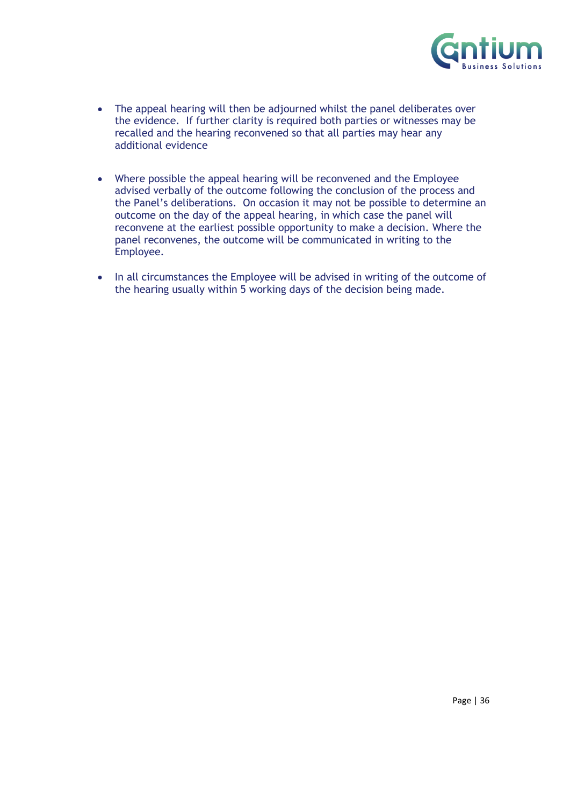

- The appeal hearing will then be adjourned whilst the panel deliberates over the evidence. If further clarity is required both parties or witnesses may be recalled and the hearing reconvened so that all parties may hear any additional evidence
- Where possible the appeal hearing will be reconvened and the Employee advised verbally of the outcome following the conclusion of the process and the Panel's deliberations. On occasion it may not be possible to determine an outcome on the day of the appeal hearing, in which case the panel will reconvene at the earliest possible opportunity to make a decision. Where the panel reconvenes, the outcome will be communicated in writing to the Employee.
- In all circumstances the Employee will be advised in writing of the outcome of the hearing usually within 5 working days of the decision being made.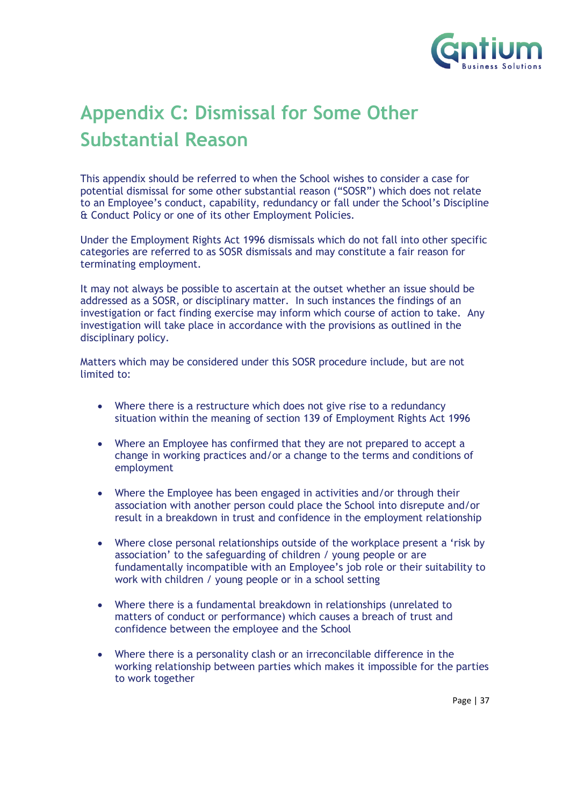

## <span id="page-36-0"></span>**Appendix C: Dismissal for Some Other Substantial Reason**

This appendix should be referred to when the School wishes to consider a case for potential dismissal for some other substantial reason ("SOSR") which does not relate to an Employee's conduct, capability, redundancy or fall under the School's Discipline & Conduct Policy or one of its other Employment Policies.

Under the Employment Rights Act 1996 dismissals which do not fall into other specific categories are referred to as SOSR dismissals and may constitute a fair reason for terminating employment.

It may not always be possible to ascertain at the outset whether an issue should be addressed as a SOSR, or disciplinary matter. In such instances the findings of an investigation or fact finding exercise may inform which course of action to take. Any investigation will take place in accordance with the provisions as outlined in the disciplinary policy.

Matters which may be considered under this SOSR procedure include, but are not limited to:

- Where there is a restructure which does not give rise to a redundancy situation within the meaning of section 139 of Employment Rights Act 1996
- Where an Employee has confirmed that they are not prepared to accept a change in working practices and/or a change to the terms and conditions of employment
- Where the Employee has been engaged in activities and/or through their association with another person could place the School into disrepute and/or result in a breakdown in trust and confidence in the employment relationship
- Where close personal relationships outside of the workplace present a 'risk by association' to the safeguarding of children / young people or are fundamentally incompatible with an Employee's job role or their suitability to work with children / young people or in a school setting
- Where there is a fundamental breakdown in relationships (unrelated to matters of conduct or performance) which causes a breach of trust and confidence between the employee and the School
- Where there is a personality clash or an irreconcilable difference in the working relationship between parties which makes it impossible for the parties to work together

Page | 37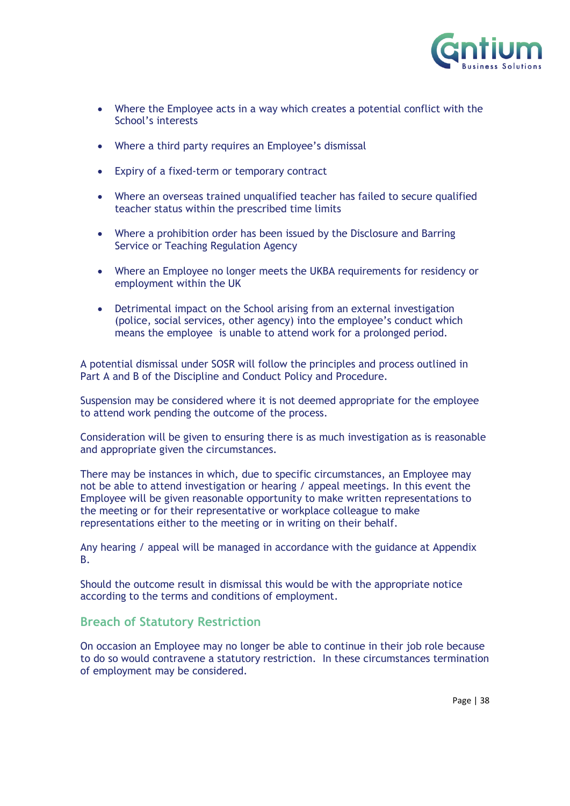

- Where the Employee acts in a way which creates a potential conflict with the School's interests
- Where a third party requires an Employee's dismissal
- Expiry of a fixed-term or temporary contract
- Where an overseas trained unqualified teacher has failed to secure qualified teacher status within the prescribed time limits
- Where a prohibition order has been issued by the Disclosure and Barring Service or Teaching Regulation Agency
- Where an Employee no longer meets the UKBA requirements for residency or employment within the UK
- Detrimental impact on the School arising from an external investigation (police, social services, other agency) into the employee's conduct which means the employee is unable to attend work for a prolonged period.

A potential dismissal under SOSR will follow the principles and process outlined in Part A and B of the Discipline and Conduct Policy and Procedure.

Suspension may be considered where it is not deemed appropriate for the employee to attend work pending the outcome of the process.

Consideration will be given to ensuring there is as much investigation as is reasonable and appropriate given the circumstances.

There may be instances in which, due to specific circumstances, an Employee may not be able to attend investigation or hearing / appeal meetings. In this event the Employee will be given reasonable opportunity to make written representations to the meeting or for their representative or workplace colleague to make representations either to the meeting or in writing on their behalf.

Any hearing / appeal will be managed in accordance with the guidance at Appendix B.

Should the outcome result in dismissal this would be with the appropriate notice according to the terms and conditions of employment.

#### **Breach of Statutory Restriction**

On occasion an Employee may no longer be able to continue in their job role because to do so would contravene a statutory restriction. In these circumstances termination of employment may be considered.